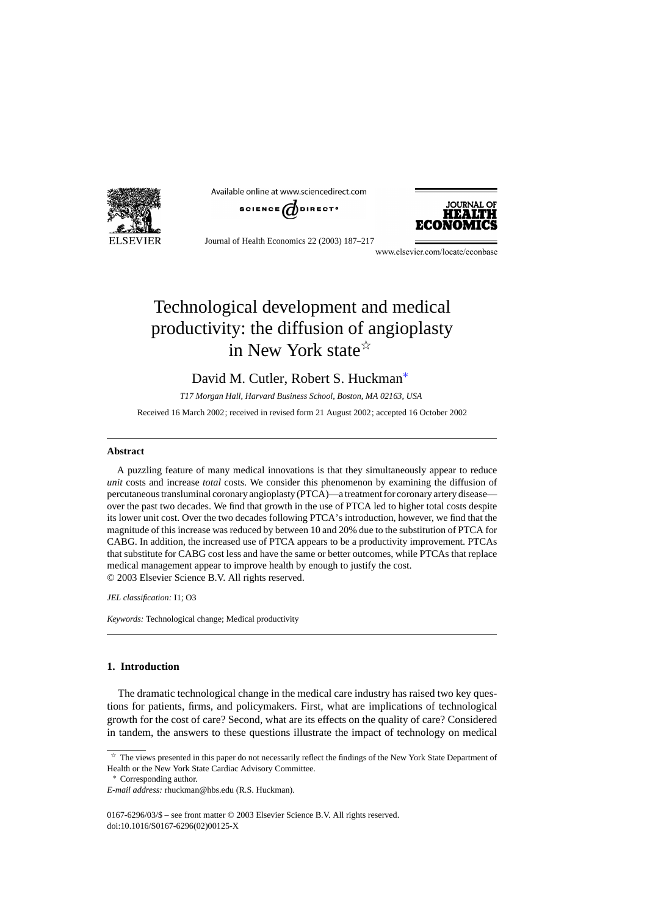

Available online at www.sciencedirect.com





Journal of Health Economics 22 (2003) 187–217

www.elsevier.com/locate/econbase

# Technological development and medical productivity: the diffusion of angioplasty in New York state $\mathbb{X}$

## David M. Cutler, Robert S. Huckman∗

*T17 Morgan Hall, Harvard Business School, Boston, MA 02163, USA*

Received 16 March 2002; received in revised form 21 August 2002; accepted 16 October 2002

#### **Abstract**

A puzzling feature of many medical innovations is that they simultaneously appear to reduce *unit* costs and increase *total* costs. We consider this phenomenon by examining the diffusion of percutaneous transluminal coronary angioplasty (PTCA)—a treatment for coronary artery disease over the past two decades. We find that growth in the use of PTCA led to higher total costs despite its lower unit cost. Over the two decades following PTCA's introduction, however, we find that the magnitude of this increase was reduced by between 10 and 20% due to the substitution of PTCA for CABG. In addition, the increased use of PTCA appears to be a productivity improvement. PTCAs that substitute for CABG cost less and have the same or better outcomes, while PTCAs that replace medical management appear to improve health by enough to justify the cost. © 2003 Elsevier Science B.V. All rights reserved.

*JEL classification:* I1; O3

*Keywords:* Technological change; Medical productivity

#### **1. Introduction**

The dramatic technological change in the medical care industry has raised two key questions for patients, firms, and policymakers. First, what are implications of technological growth for the cost of care? Second, what are its effects on the quality of care? Considered in tandem, the answers to these questions illustrate the impact of technology on medical

 $\dot{\tau}$  The views presented in this paper do not necessarily reflect the findings of the New York State Department of Health or the New York State Cardiac Advisory Committee.

<sup>∗</sup> Corresponding author.

*E-mail address:* rhuckman@hbs.edu (R.S. Huckman).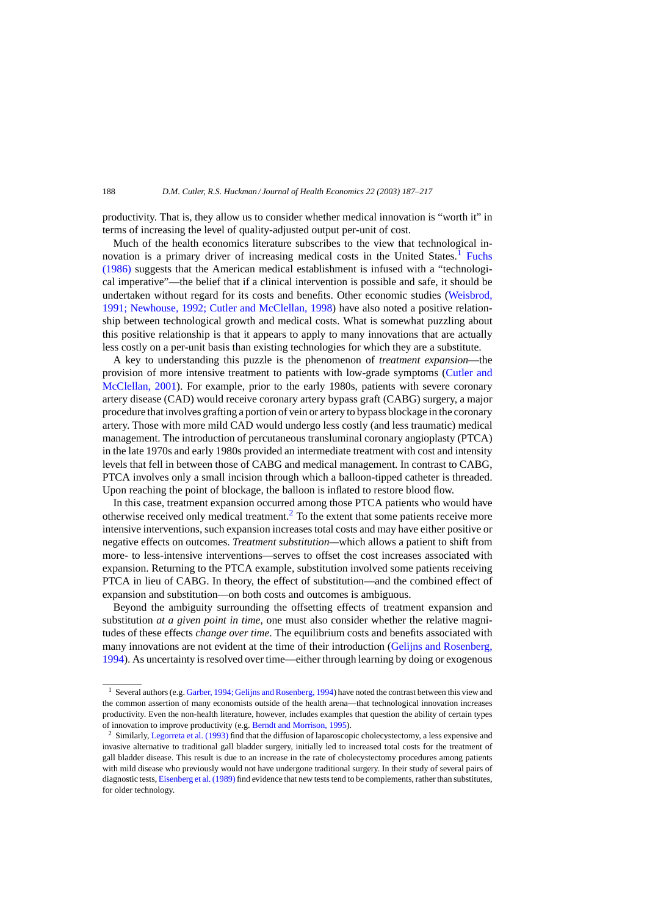productivity. That is, they allow us to consider whether medical innovation is "worth it" in terms of increasing the level of quality-adjusted output per-unit of cost.

Much of the health economics literature subscribes to the view that technological in-novation is a primary driver of increasing medical costs in the United States.<sup>1</sup> [Fuchs](#page-29-0) [\(1986\)](#page-29-0) suggests that the American medical establishment is infused with a "technological imperative"—the belief that if a clinical intervention is possible and safe, it should be undertaken without regard for its costs and benefits. Other economic studies [\(Weisbrod,](#page-30-0) [1991; Newhouse, 1992; Cutler and McClellan, 1998\)](#page-30-0) have also noted a positive relationship between technological growth and medical costs. What is somewhat puzzling about this positive relationship is that it appears to apply to many innovations that are actually less costly on a per-unit basis than existing technologies for which they are a substitute.

A key to understanding this puzzle is the phenomenon of *treatment expansion*—the provision of more intensive treatment to patients with low-grade symptoms ([Cutler and](#page-29-0) [McClellan, 2001\).](#page-29-0) For example, prior to the early 1980s, patients with severe coronary artery disease (CAD) would receive coronary artery bypass graft (CABG) surgery, a major procedure that involves grafting a portion of vein or artery to bypass blockage in the coronary artery. Those with more mild CAD would undergo less costly (and less traumatic) medical management. The introduction of percutaneous transluminal coronary angioplasty (PTCA) in the late 1970s and early 1980s provided an intermediate treatment with cost and intensity levels that fell in between those of CABG and medical management. In contrast to CABG, PTCA involves only a small incision through which a balloon-tipped catheter is threaded. Upon reaching the point of blockage, the balloon is inflated to restore blood flow.

In this case, treatment expansion occurred among those PTCA patients who would have otherwise received only medical treatment.<sup>2</sup> To the extent that some patients receive more intensive interventions, such expansion increases total costs and may have either positive or negative effects on outcomes. *Treatment substitution—*which allows a patient to shift from more- to less-intensive interventions—serves to offset the cost increases associated with expansion. Returning to the PTCA example, substitution involved some patients receiving PTCA in lieu of CABG. In theory, the effect of substitution—and the combined effect of expansion and substitution—on both costs and outcomes is ambiguous.

Beyond the ambiguity surrounding the offsetting effects of treatment expansion and substitution *at a given point in time*, one must also consider whether the relative magnitudes of these effects *change over time*. The equilibrium costs and benefits associated with many innovations are not evident at the time of their introduction ([Gelijns and Rosenberg,](#page-29-0) [1994\).](#page-29-0) As uncertainty is resolved over time—either through learning by doing or exogenous

<sup>&</sup>lt;sup>1</sup> Several authors (e.g. [Garber, 1994; Gelijns and Rosenberg, 1994\) ha](#page-29-0)ve noted the contrast between this view and the common assertion of many economists outside of the health arena—that technological innovation increases productivity. Even the non-health literature, however, includes examples that question the ability of certain types of innovation to improve productivity (e.g. [Berndt and Morrison, 1995\).](#page-29-0)

<sup>2</sup> Similarly, [Legorreta et al. \(1993\)](#page-30-0) find that the diffusion of laparoscopic cholecystectomy, a less expensive and invasive alternative to traditional gall bladder surgery, initially led to increased total costs for the treatment of gall bladder disease. This result is due to an increase in the rate of cholecystectomy procedures among patients with mild disease who previously would not have undergone traditional surgery. In their study of several pairs of diagnostic tests, [Eisenberg et al. \(1989\)](#page-29-0) find evidence that new tests tend to be complements, rather than substitutes, for older technology.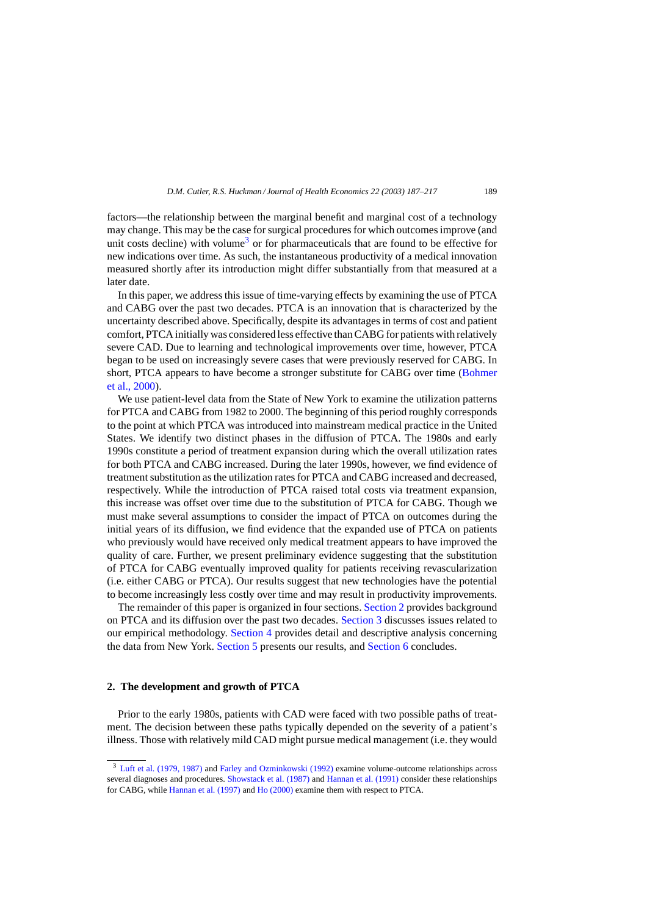factors—the relationship between the marginal benefit and marginal cost of a technology may change. This may be the case for surgical procedures for which outcomes improve (and unit costs decline) with volume<sup>3</sup> or for pharmaceuticals that are found to be effective for new indications over time. As such, the instantaneous productivity of a medical innovation measured shortly after its introduction might differ substantially from that measured at a later date.

In this paper, we address this issue of time-varying effects by examining the use of PTCA and CABG over the past two decades. PTCA is an innovation that is characterized by the uncertainty described above. Specifically, despite its advantages in terms of cost and patient comfort, PTCA initially was considered less effective than CABG for patients with relatively severe CAD. Due to learning and technological improvements over time, however, PTCA began to be used on increasingly severe cases that were previously reserved for CABG. In short, PTCA appears to have become a stronger substitute for CABG over time [\(Bohmer](#page-29-0) [et al., 2000\).](#page-29-0)

We use patient-level data from the State of New York to examine the utilization patterns for PTCA and CABG from 1982 to 2000. The beginning of this period roughly corresponds to the point at which PTCA was introduced into mainstream medical practice in the United States. We identify two distinct phases in the diffusion of PTCA. The 1980s and early 1990s constitute a period of treatment expansion during which the overall utilization rates for both PTCA and CABG increased. During the later 1990s, however, we find evidence of treatment substitution as the utilization rates for PTCA and CABG increased and decreased, respectively. While the introduction of PTCA raised total costs via treatment expansion, this increase was offset over time due to the substitution of PTCA for CABG. Though we must make several assumptions to consider the impact of PTCA on outcomes during the initial years of its diffusion, we find evidence that the expanded use of PTCA on patients who previously would have received only medical treatment appears to have improved the quality of care. Further, we present preliminary evidence suggesting that the substitution of PTCA for CABG eventually improved quality for patients receiving revascularization (i.e. either CABG or PTCA). Our results suggest that new technologies have the potential to become increasingly less costly over time and may result in productivity improvements.

The remainder of this paper is organized in four sections. Section 2 provides background on PTCA and its diffusion over the past two decades. [Section 3](#page-3-0) discusses issues related to our empirical methodology. [Section 4](#page-6-0) provides detail and descriptive analysis concerning the data from New York. [Section 5](#page-13-0) presents our results, and [Section 6](#page-24-0) concludes.

#### **2. The development and growth of PTCA**

Prior to the early 1980s, patients with CAD were faced with two possible paths of treatment. The decision between these paths typically depended on the severity of a patient's illness. Those with relatively mild CAD might pursue medical management (i.e. they would

<sup>&</sup>lt;sup>3</sup> [Luft et al. \(1979, 1987\)](#page-30-0) and [Farley and Ozminkowski \(1992\)](#page-29-0) examine volume-outcome relationships across several diagnoses and procedures. [Showstack et al. \(1987\)](#page-30-0) and [Hannan et al. \(1991\)](#page-29-0) consider these relationships for CABG, while [Hannan et al. \(1997\)](#page-29-0) and [Ho \(2000\)](#page-29-0) examine them with respect to PTCA.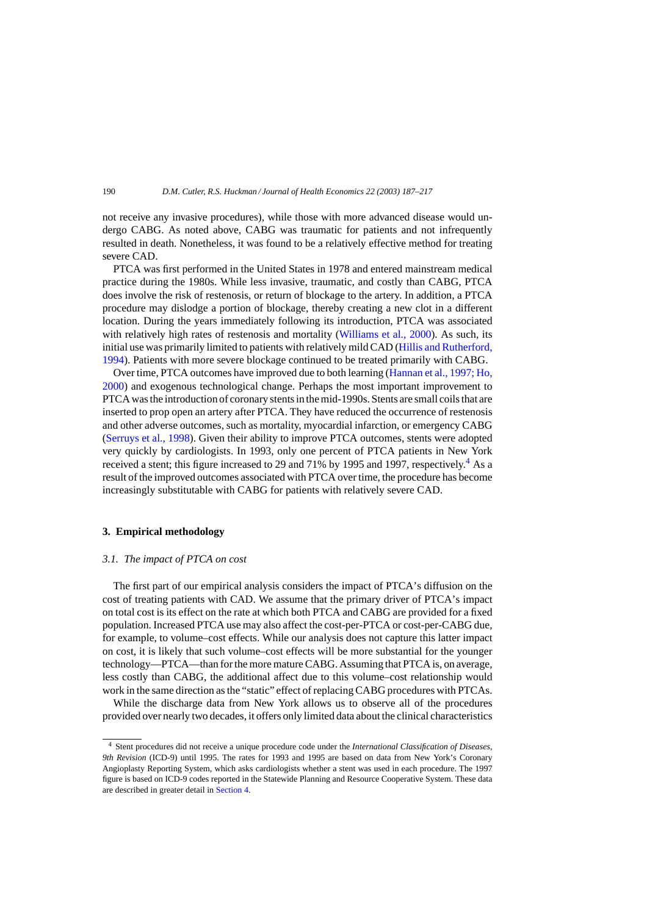<span id="page-3-0"></span>not receive any invasive procedures), while those with more advanced disease would undergo CABG. As noted above, CABG was traumatic for patients and not infrequently resulted in death. Nonetheless, it was found to be a relatively effective method for treating severe CAD.

PTCA was first performed in the United States in 1978 and entered mainstream medical practice during the 1980s. While less invasive, traumatic, and costly than CABG, PTCA does involve the risk of restenosis, or return of blockage to the artery. In addition, a PTCA procedure may dislodge a portion of blockage, thereby creating a new clot in a different location. During the years immediately following its introduction, PTCA was associated with relatively high rates of restenosis and mortality ([Williams et al., 2000\).](#page-30-0) As such, its initial use was primarily limited to patients with relatively mild CAD ([Hillis and Rutherford,](#page-29-0) [1994\).](#page-29-0) Patients with more severe blockage continued to be treated primarily with CABG.

Over time, PTCA outcomes have improved due to both learning ([Hannan et al., 1997; Ho,](#page-29-0) [2000\)](#page-29-0) and exogenous technological change. Perhaps the most important improvement to PTCA was the introduction of coronary stents in the mid-1990s. Stents are small coils that are inserted to prop open an artery after PTCA. They have reduced the occurrence of restenosis and other adverse outcomes, such as mortality, myocardial infarction, or emergency CABG [\(Serruys et al., 1998\).](#page-30-0) Given their ability to improve PTCA outcomes, stents were adopted very quickly by cardiologists. In 1993, only one percent of PTCA patients in New York received a stent; this figure increased to 29 and 71% by 1995 and 1997, respectively.<sup>4</sup> As a result of the improved outcomes associated with PTCA over time, the procedure has become increasingly substitutable with CABG for patients with relatively severe CAD.

#### **3. Empirical methodology**

#### *3.1. The impact of PTCA on cost*

The first part of our empirical analysis considers the impact of PTCA's diffusion on the cost of treating patients with CAD. We assume that the primary driver of PTCA's impact on total cost is its effect on the rate at which both PTCA and CABG are provided for a fixed population. Increased PTCA use may also affect the cost-per-PTCA or cost-per-CABG due, for example, to volume–cost effects. While our analysis does not capture this latter impact on cost, it is likely that such volume–cost effects will be more substantial for the younger technology—PTCA—than for the more mature CABG. Assuming that PTCA is, on average, less costly than CABG, the additional affect due to this volume–cost relationship would work in the same direction as the "static" effect of replacing CABG procedures with PTCAs.

While the discharge data from New York allows us to observe all of the procedures provided over nearly two decades, it offers only limited data about the clinical characteristics

<sup>4</sup> Stent procedures did not receive a unique procedure code under the *International Classification of Diseases*, *9th Revision* (ICD-9) until 1995. The rates for 1993 and 1995 are based on data from New York's Coronary Angioplasty Reporting System, which asks cardiologists whether a stent was used in each procedure. The 1997 figure is based on ICD-9 codes reported in the Statewide Planning and Resource Cooperative System. These data are described in greater detail in [Section 4.](#page-6-0)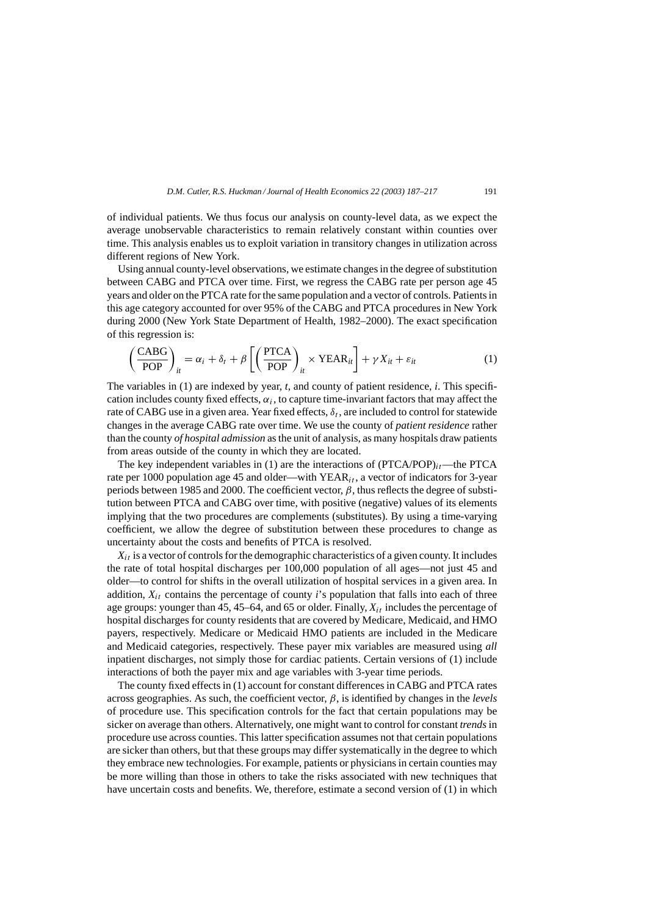of individual patients. We thus focus our analysis on county-level data, as we expect the average unobservable characteristics to remain relatively constant within counties over time. This analysis enables us to exploit variation in transitory changes in utilization across different regions of New York.

Using annual county-level observations, we estimate changes in the degree of substitution between CABG and PTCA over time. First, we regress the CABG rate per person age 45 years and older on the PTCA rate for the same population and a vector of controls. Patients in this age category accounted for over 95% of the CABG and PTCA procedures in New York during 2000 (New York State Department of Health, 1982–2000). The exact specification of this regression is:

$$
\left(\frac{\text{CABG}}{\text{POP}}\right)_{it} = \alpha_i + \delta_t + \beta \left[ \left(\frac{\text{PTCA}}{\text{POP}}\right)_{it} \times \text{YEAR}_{it} \right] + \gamma X_{it} + \varepsilon_{it} \tag{1}
$$

The variables in (1) are indexed by year, *t*, and county of patient residence, *i*. This specification includes county fixed effects,  $\alpha_i$ , to capture time-invariant factors that may affect the rate of CABG use in a given area. Year fixed effects,  $\delta_t$ , are included to control for statewide changes in the average CABG rate over time. We use the county of *patient residence* rather than the county *of hospital admission* as the unit of analysis, as many hospitals draw patients from areas outside of the county in which they are located.

The key independent variables in (1) are the interactions of  $(PTCA/POP)_{it}$ —the PTCA rate per 1000 population age 45 and older—with  $YEAR_{it}$ , a vector of indicators for 3-year periods between 1985 and 2000. The coefficient vector,  $\beta$ , thus reflects the degree of substitution between PTCA and CABG over time, with positive (negative) values of its elements implying that the two procedures are complements (substitutes). By using a time-varying coefficient, we allow the degree of substitution between these procedures to change as uncertainty about the costs and benefits of PTCA is resolved.

 $X_{it}$  is a vector of controls for the demographic characteristics of a given county. It includes the rate of total hospital discharges per 100,000 population of all ages—not just 45 and older—to control for shifts in the overall utilization of hospital services in a given area. In addition,  $X_{it}$  contains the percentage of county *i*'s population that falls into each of three age groups: younger than  $45$ ,  $45-64$ , and  $65$  or older. Finally,  $X_{it}$  includes the percentage of hospital discharges for county residents that are covered by Medicare, Medicaid, and HMO payers, respectively. Medicare or Medicaid HMO patients are included in the Medicare and Medicaid categories, respectively. These payer mix variables are measured using *all* inpatient discharges, not simply those for cardiac patients. Certain versions of (1) include interactions of both the payer mix and age variables with 3-year time periods.

The county fixed effects in (1) account for constant differences in CABG and PTCA rates across geographies. As such, the coefficient vector,  $\beta$ , is identified by changes in the *levels* of procedure use. This specification controls for the fact that certain populations may be sicker on average than others. Alternatively, one might want to control for constant *trends*in procedure use across counties. This latter specification assumes not that certain populations are sicker than others, but that these groups may differ systematically in the degree to which they embrace new technologies. For example, patients or physicians in certain counties may be more willing than those in others to take the risks associated with new techniques that have uncertain costs and benefits. We, therefore, estimate a second version of (1) in which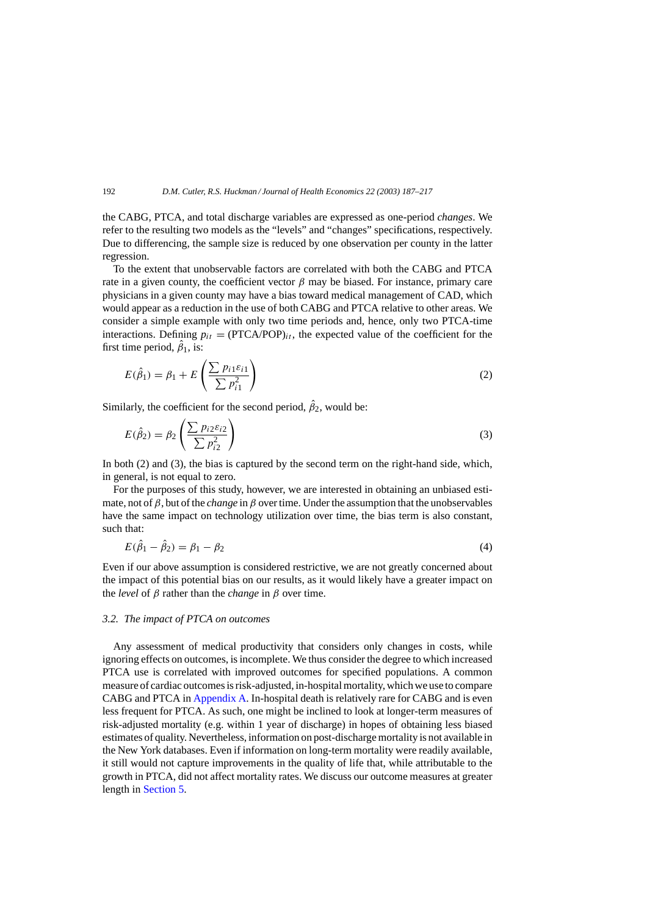the CABG, PTCA, and total discharge variables are expressed as one-period *changes*. We refer to the resulting two models as the "levels" and "changes" specifications, respectively. Due to differencing, the sample size is reduced by one observation per county in the latter regression.

To the extent that unobservable factors are correlated with both the CABG and PTCA rate in a given county, the coefficient vector  $\beta$  may be biased. For instance, primary care physicians in a given county may have a bias toward medical management of CAD, which would appear as a reduction in the use of both CABG and PTCA relative to other areas. We consider a simple example with only two time periods and, hence, only two PTCA-time interactions. Defining  $p_{it} = (PTCA/POP)_{it}$ , the expected value of the coefficient for the first time period,  $\hat{\beta}_1$ , is:

$$
E(\hat{\beta}_1) = \beta_1 + E\left(\frac{\sum p_{i1}\varepsilon_{i1}}{\sum p_{i1}^2}\right)
$$
 (2)

Similarly, the coefficient for the second period,  $\hat{\beta}_2$ , would be:

$$
E(\hat{\beta}_2) = \beta_2 \left( \frac{\sum p_{i2} \varepsilon_{i2}}{\sum p_{i2}^2} \right)
$$
 (3)

In both (2) and (3), the bias is captured by the second term on the right-hand side, which, in general, is not equal to zero.

For the purposes of this study, however, we are interested in obtaining an unbiased estimate, not of  $\beta$ , but of the *change* in  $\beta$  over time. Under the assumption that the unobservables have the same impact on technology utilization over time, the bias term is also constant, such that:

$$
E(\hat{\beta}_1 - \hat{\beta}_2) = \beta_1 - \beta_2 \tag{4}
$$

Even if our above assumption is considered restrictive, we are not greatly concerned about the impact of this potential bias on our results, as it would likely have a greater impact on the *level* of β rather than the *change* in β over time.

#### *3.2. The impact of PTCA on outcomes*

Any assessment of medical productivity that considers only changes in costs, while ignoring effects on outcomes, is incomplete. We thus consider the degree to which increased PTCA use is correlated with improved outcomes for specified populations. A common measure of cardiac outcomes is risk-adjusted, in-hospital mortality, which we use to compare CABG and PTCA in [Appendix A. I](#page-25-0)n-hospital death is relatively rare for CABG and is even less frequent for PTCA. As such, one might be inclined to look at longer-term measures of risk-adjusted mortality (e.g. within 1 year of discharge) in hopes of obtaining less biased estimates of quality. Nevertheless, information on post-discharge mortality is not available in the New York databases. Even if information on long-term mortality were readily available, it still would not capture improvements in the quality of life that, while attributable to the growth in PTCA, did not affect mortality rates. We discuss our outcome measures at greater length in [Section 5.](#page-13-0)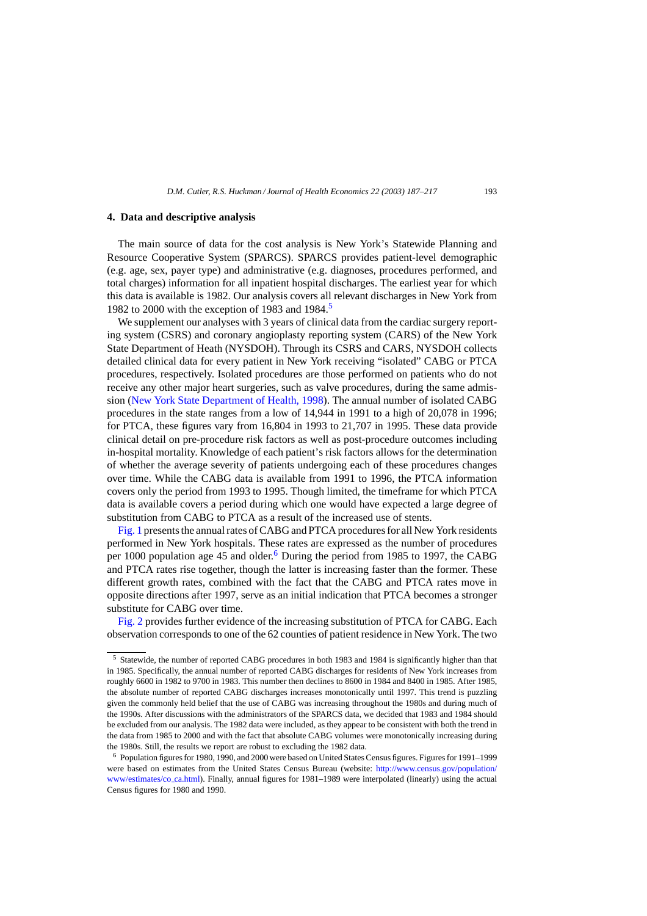#### <span id="page-6-0"></span>**4. Data and descriptive analysis**

The main source of data for the cost analysis is New York's Statewide Planning and Resource Cooperative System (SPARCS). SPARCS provides patient-level demographic (e.g. age, sex, payer type) and administrative (e.g. diagnoses, procedures performed, and total charges) information for all inpatient hospital discharges. The earliest year for which this data is available is 1982. Our analysis covers all relevant discharges in New York from 1982 to 2000 with the exception of 1983 and 1984.<sup>5</sup>

We supplement our analyses with 3 years of clinical data from the cardiac surgery reporting system (CSRS) and coronary angioplasty reporting system (CARS) of the New York State Department of Heath (NYSDOH). Through its CSRS and CARS, NYSDOH collects detailed clinical data for every patient in New York receiving "isolated" CABG or PTCA procedures, respectively. Isolated procedures are those performed on patients who do not receive any other major heart surgeries, such as valve procedures, during the same admission ([New York State Department of Health, 1998\).](#page-30-0) The annual number of isolated CABG procedures in the state ranges from a low of 14,944 in 1991 to a high of 20,078 in 1996; for PTCA, these figures vary from 16,804 in 1993 to 21,707 in 1995. These data provide clinical detail on pre-procedure risk factors as well as post-procedure outcomes including in-hospital mortality. Knowledge of each patient's risk factors allows for the determination of whether the average severity of patients undergoing each of these procedures changes over time. While the CABG data is available from 1991 to 1996, the PTCA information covers only the period from 1993 to 1995. Though limited, the timeframe for which PTCA data is available covers a period during which one would have expected a large degree of substitution from CABG to PTCA as a result of the increased use of stents.

[Fig. 1](#page-7-0) presents the annual rates of CABG and PTCA procedures for all New York residents performed in New York hospitals. These rates are expressed as the number of procedures per 1000 population age 45 and older.<sup>6</sup> During the period from 1985 to 1997, the CABG and PTCA rates rise together, though the latter is increasing faster than the former. These different growth rates, combined with the fact that the CABG and PTCA rates move in opposite directions after 1997, serve as an initial indication that PTCA becomes a stronger substitute for CABG over time.

[Fig. 2](#page-8-0) provides further evidence of the increasing substitution of PTCA for CABG. Each observation corresponds to one of the 62 counties of patient residence in New York. The two

<sup>5</sup> Statewide, the number of reported CABG procedures in both 1983 and 1984 is significantly higher than that in 1985. Specifically, the annual number of reported CABG discharges for residents of New York increases from roughly 6600 in 1982 to 9700 in 1983. This number then declines to 8600 in 1984 and 8400 in 1985. After 1985, the absolute number of reported CABG discharges increases monotonically until 1997. This trend is puzzling given the commonly held belief that the use of CABG was increasing throughout the 1980s and during much of the 1990s. After discussions with the administrators of the SPARCS data, we decided that 1983 and 1984 should be excluded from our analysis. The 1982 data were included, as they appear to be consistent with both the trend in the data from 1985 to 2000 and with the fact that absolute CABG volumes were monotonically increasing during the 1980s. Still, the results we report are robust to excluding the 1982 data.

<sup>6</sup> Population figures for 1980, 1990, and 2000 were based on United States Census figures. Figures for 1991–1999 were based on estimates from the United States Census Bureau (website: [http://www.census.gov/population/](http://www.census.gov/population/www/estimates/co_ca.html) [www/estimates/co](http://www.census.gov/population/www/estimates/co_ca.html) ca.html). Finally, annual figures for 1981–1989 were interpolated (linearly) using the actual Census figures for 1980 and 1990.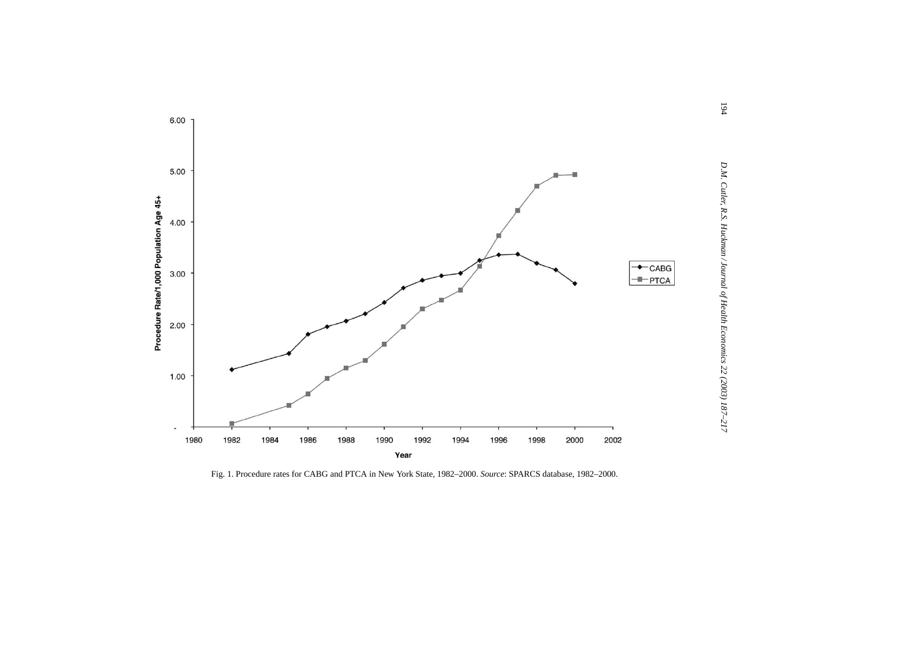<span id="page-7-0"></span>

Fig. 1. Procedure rates for CABG and PTCA in New York State, 1982–2000. *Source*: SPARCS database, 1982–2000.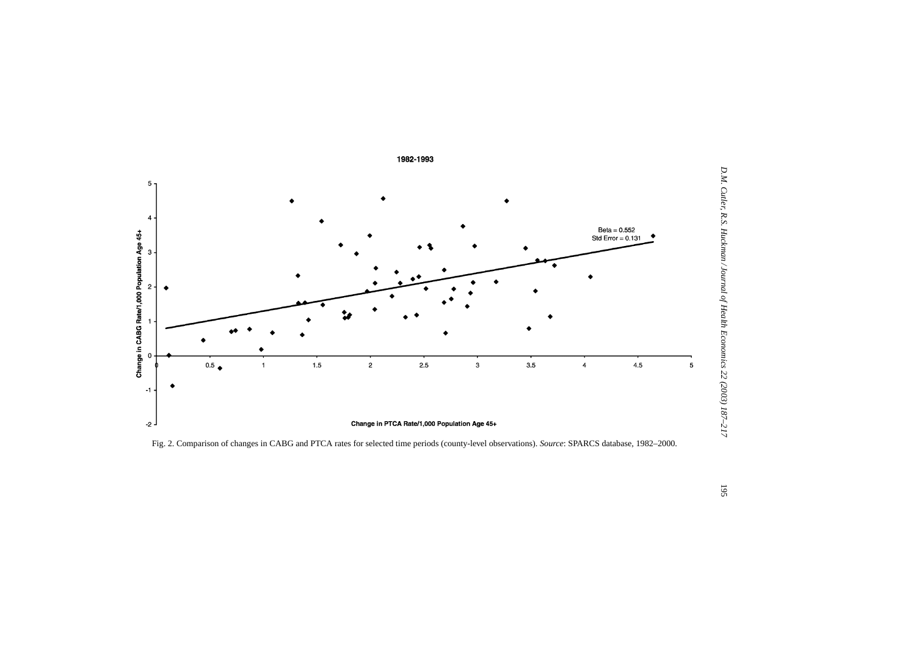<span id="page-8-0"></span>

<sup>195</sup> Fig. 2. Comparison of changes in CABG and PTCA rates for selected time periods (county-level observations). *Source*: SPARCS database, 1982–2000.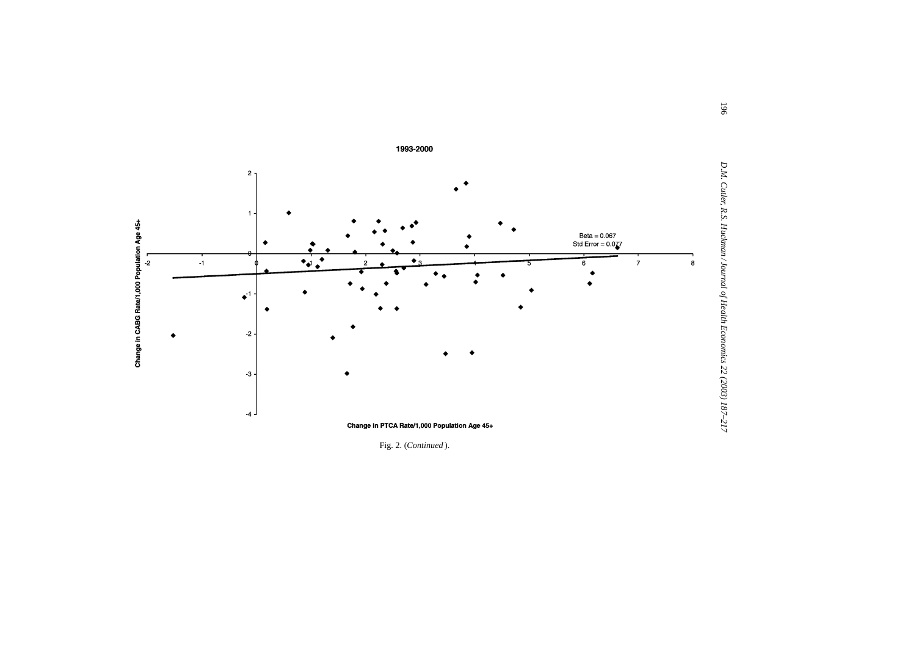

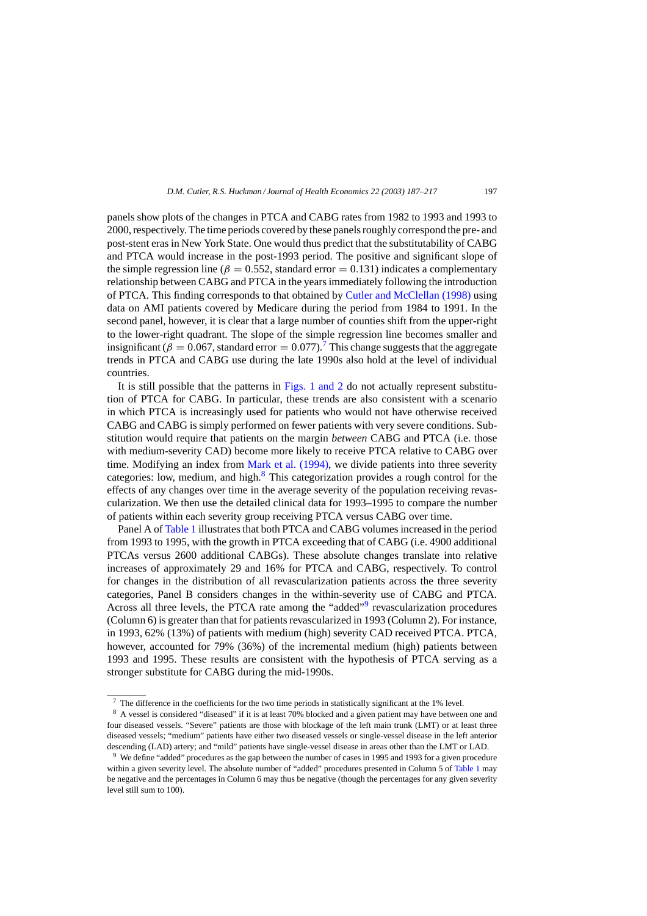panels show plots of the changes in PTCA and CABG rates from 1982 to 1993 and 1993 to 2000, respectively. The time periods covered by these panels roughly correspond the pre- and post-stent eras in New York State. One would thus predict that the substitutability of CABG and PTCA would increase in the post-1993 period. The positive and significant slope of the simple regression line ( $\beta = 0.552$ , standard error = 0.131) indicates a complementary relationship between CABG and PTCA in the years immediately following the introduction of PTCA. This finding corresponds to that obtained by [Cutler and McClellan \(1998\)](#page-29-0) using data on AMI patients covered by Medicare during the period from 1984 to 1991. In the second panel, however, it is clear that a large number of counties shift from the upper-right to the lower-right quadrant. The slope of the simple regression line becomes smaller and insignificant ( $\beta = 0.067$ , standard error  $= 0.077$ ). This change suggests that the aggregate trends in PTCA and CABG use during the late 1990s also hold at the level of individual

It is still possible that the patterns in [Figs. 1 and 2](#page-7-0) do not actually represent substitution of PTCA for CABG. In particular, these trends are also consistent with a scenario in which PTCA is increasingly used for patients who would not have otherwise received CABG and CABG is simply performed on fewer patients with very severe conditions. Substitution would require that patients on the margin *between* CABG and PTCA (i.e. those with medium-severity CAD) become more likely to receive PTCA relative to CABG over time. Modifying an index from [Mark et al. \(1994\),](#page-30-0) we divide patients into three severity categories: low, medium, and high. $8$  This categorization provides a rough control for the effects of any changes over time in the average severity of the population receiving revascularization. We then use the detailed clinical data for 1993–1995 to compare the number of patients within each severity group receiving PTCA versus CABG over time.

countries.

Panel A of [Table 1](#page-11-0) illustrates that both PTCA and CABG volumes increased in the period from 1993 to 1995, with the growth in PTCA exceeding that of CABG (i.e. 4900 additional PTCAs versus 2600 additional CABGs). These absolute changes translate into relative increases of approximately 29 and 16% for PTCA and CABG, respectively. To control for changes in the distribution of all revascularization patients across the three severity categories, Panel B considers changes in the within-severity use of CABG and PTCA. Across all three levels, the PTCA rate among the "added"<sup>9</sup> revascularization procedures (Column 6) is greater than that for patients revascularized in 1993 (Column 2). For instance, in 1993, 62% (13%) of patients with medium (high) severity CAD received PTCA. PTCA, however, accounted for 79% (36%) of the incremental medium (high) patients between 1993 and 1995. These results are consistent with the hypothesis of PTCA serving as a stronger substitute for CABG during the mid-1990s.

<sup>7</sup> The difference in the coefficients for the two time periods in statistically significant at the 1% level.

<sup>&</sup>lt;sup>8</sup> A vessel is considered "diseased" if it is at least 70% blocked and a given patient may have between one and four diseased vessels. "Severe" patients are those with blockage of the left main trunk (LMT) or at least three diseased vessels; "medium" patients have either two diseased vessels or single-vessel disease in the left anterior descending (LAD) artery; and "mild" patients have single-vessel disease in areas other than the LMT or LAD.

<sup>9</sup> We define "added" procedures as the gap between the number of cases in 1995 and 1993 for a given procedure within a given severity level. The absolute number of "added" procedures presented in Column 5 of [Table 1](#page-11-0) may be negative and the percentages in Column 6 may thus be negative (though the percentages for any given severity level still sum to 100).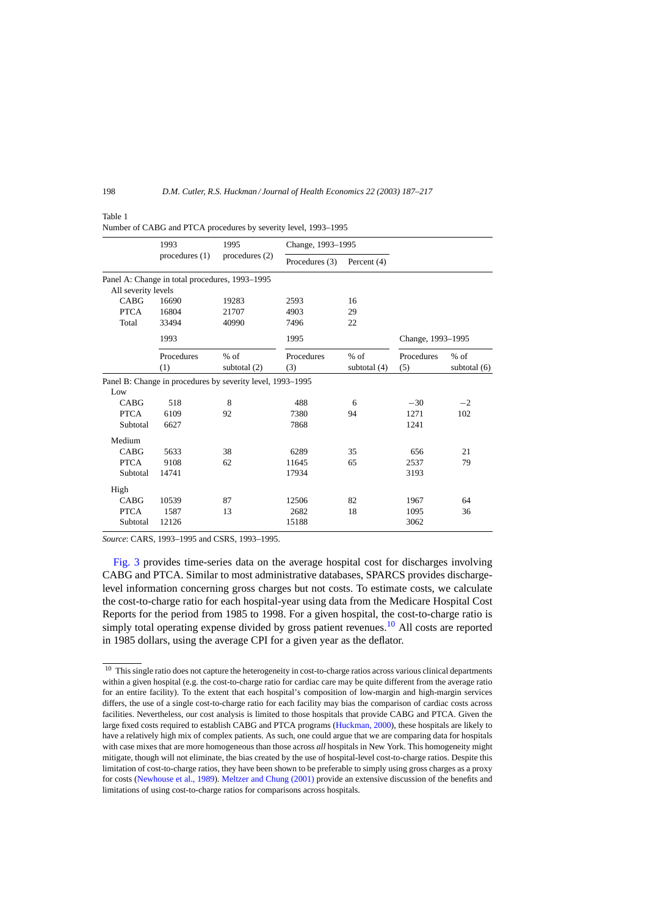|                     | 1993                                           | 1995                                                       |                                                     | Change, 1993-1995        |                   |                        |
|---------------------|------------------------------------------------|------------------------------------------------------------|-----------------------------------------------------|--------------------------|-------------------|------------------------|
|                     | procedures $(1)$                               |                                                            | procedures $(2)$<br>Procedures (3)<br>Percent $(4)$ |                          |                   |                        |
|                     | Panel A: Change in total procedures, 1993-1995 |                                                            |                                                     |                          |                   |                        |
| All severity levels |                                                |                                                            |                                                     |                          |                   |                        |
| CABG                | 16690                                          | 19283                                                      | 2593                                                | 16                       |                   |                        |
| <b>PTCA</b>         | 16804                                          | 21707                                                      | 4903                                                | 29                       |                   |                        |
| Total               | 33494                                          | 40990                                                      | 7496                                                | 22                       |                   |                        |
|                     | 1993                                           |                                                            | 1995                                                |                          | Change, 1993-1995 |                        |
|                     | Procedures<br>(1)                              | $%$ of<br>subtotal $(2)$                                   | Procedures<br>(3)                                   | $%$ of<br>subtotal $(4)$ | Procedures<br>(5) | $%$ of<br>subtotal (6) |
|                     |                                                | Panel B: Change in procedures by severity level, 1993-1995 |                                                     |                          |                   |                        |
| Low                 |                                                |                                                            |                                                     |                          |                   |                        |
| <b>CABG</b>         | 518                                            | 8                                                          | 488                                                 | 6                        | $-30$             | $-2$                   |
| <b>PTCA</b>         | 6109                                           | 92                                                         | 7380                                                | 94                       | 1271              | 102                    |
| Subtotal            | 6627                                           |                                                            | 7868                                                |                          | 1241              |                        |
| Medium              |                                                |                                                            |                                                     |                          |                   |                        |
| <b>CABG</b>         | 5633                                           | 38                                                         | 6289                                                | 35                       | 656               | 21                     |
| <b>PTCA</b>         | 9108                                           | 62                                                         | 11645                                               | 65                       | 2537              | 79                     |
| Subtotal            | 14741                                          |                                                            | 17934                                               |                          | 3193              |                        |
| High                |                                                |                                                            |                                                     |                          |                   |                        |
| <b>CABG</b>         | 10539                                          | 87                                                         | 12506                                               | 82                       | 1967              | 64                     |
| <b>PTCA</b>         | 1587                                           | 13                                                         | 2682                                                | 18                       | 1095              | 36                     |
| Subtotal            | 12126                                          |                                                            | 15188                                               |                          | 3062              |                        |

*Source*: CARS, 1993–1995 and CSRS, 1993–1995.

[Fig. 3](#page-12-0) provides time-series data on the average hospital cost for discharges involving CABG and PTCA. Similar to most administrative databases, SPARCS provides dischargelevel information concerning gross charges but not costs. To estimate costs, we calculate the cost-to-charge ratio for each hospital-year using data from the Medicare Hospital Cost Reports for the period from 1985 to 1998. For a given hospital, the cost-to-charge ratio is simply total operating expense divided by gross patient revenues.<sup>10</sup> All costs are reported in 1985 dollars, using the average CPI for a given year as the deflator.

<span id="page-11-0"></span>Table 1

 $10$  This single ratio does not capture the heterogeneity in cost-to-charge ratios across various clinical departments within a given hospital (e.g. the cost-to-charge ratio for cardiac care may be quite different from the average ratio for an entire facility). To the extent that each hospital's composition of low-margin and high-margin services differs, the use of a single cost-to-charge ratio for each facility may bias the comparison of cardiac costs across facilities. Nevertheless, our cost analysis is limited to those hospitals that provide CABG and PTCA. Given the large fixed costs required to establish CABG and PTCA programs ([Huckman, 2000\),](#page-29-0) these hospitals are likely to have a relatively high mix of complex patients. As such, one could argue that we are comparing data for hospitals with case mixes that are more homogeneous than those across *all* hospitals in New York. This homogeneity might mitigate, though will not eliminate, the bias created by the use of hospital-level cost-to-charge ratios. Despite this limitation of cost-to-charge ratios, they have been shown to be preferable to simply using gross charges as a proxy for costs [\(Newhouse et al., 1989\).](#page-30-0) [Meltzer and Chung \(2001\)](#page-30-0) provide an extensive discussion of the benefits and limitations of using cost-to-charge ratios for comparisons across hospitals.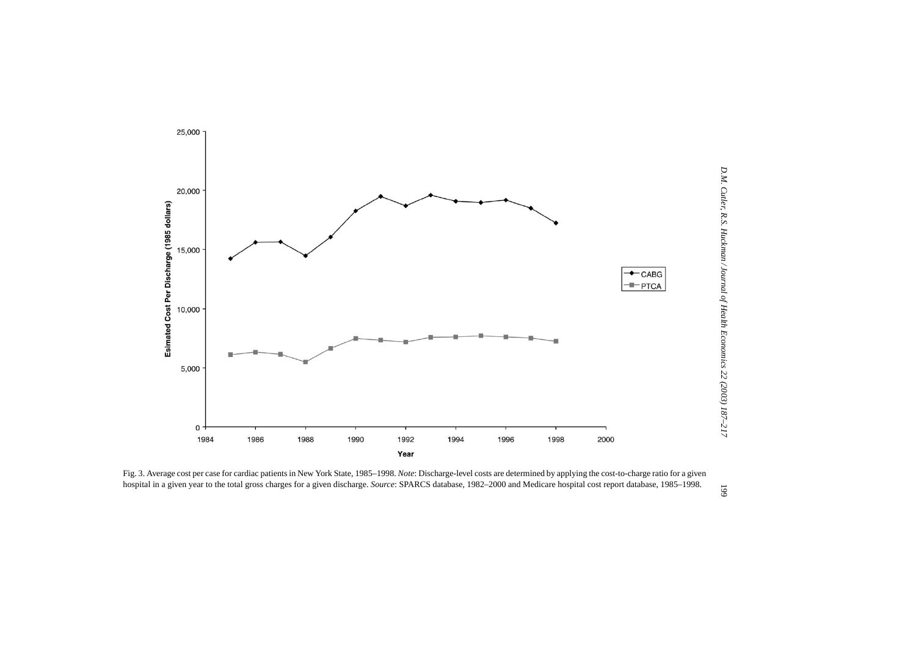<span id="page-12-0"></span>

Fig. 3. Average cost per case for cardiac patients in New York State, 1985–1998. *Note*: Discharge-level costs are determined by applying the cost-to-charge ratio for a given hospital in a given year to the total gross cha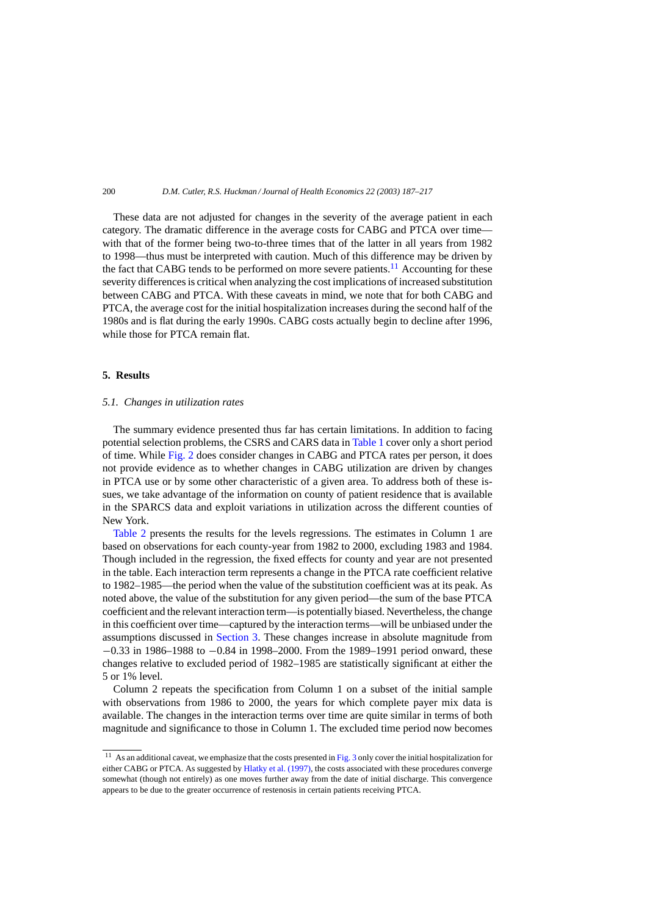<span id="page-13-0"></span>These data are not adjusted for changes in the severity of the average patient in each category. The dramatic difference in the average costs for CABG and PTCA over time with that of the former being two-to-three times that of the latter in all years from 1982 to 1998—thus must be interpreted with caution. Much of this difference may be driven by the fact that CABG tends to be performed on more severe patients.<sup>11</sup> Accounting for these severity differences is critical when analyzing the cost implications of increased substitution between CABG and PTCA. With these caveats in mind, we note that for both CABG and PTCA, the average cost for the initial hospitalization increases during the second half of the 1980s and is flat during the early 1990s. CABG costs actually begin to decline after 1996, while those for PTCA remain flat.

#### **5. Results**

#### *5.1. Changes in utilization rates*

The summary evidence presented thus far has certain limitations. In addition to facing potential selection problems, the CSRS and CARS data in [Table 1](#page-11-0) cover only a short period of time. While [Fig. 2](#page-8-0) does consider changes in CABG and PTCA rates per person, it does not provide evidence as to whether changes in CABG utilization are driven by changes in PTCA use or by some other characteristic of a given area. To address both of these issues, we take advantage of the information on county of patient residence that is available in the SPARCS data and exploit variations in utilization across the different counties of New York.

[Table 2](#page-14-0) presents the results for the levels regressions. The estimates in Column 1 are based on observations for each county-year from 1982 to 2000, excluding 1983 and 1984. Though included in the regression, the fixed effects for county and year are not presented in the table. Each interaction term represents a change in the PTCA rate coefficient relative to 1982–1985—the period when the value of the substitution coefficient was at its peak. As noted above, the value of the substitution for any given period—the sum of the base PTCA coefficient and the relevant interaction term—is potentially biased. Nevertheless, the change in this coefficient over time—captured by the interaction terms—will be unbiased under the assumptions discussed in [Section 3.](#page-3-0) These changes increase in absolute magnitude from −0.33 in 1986–1988 to −0.84 in 1998–2000. From the 1989–1991 period onward, these changes relative to excluded period of 1982–1985 are statistically significant at either the 5 or 1% level.

Column 2 repeats the specification from Column 1 on a subset of the initial sample with observations from 1986 to 2000, the years for which complete payer mix data is available. The changes in the interaction terms over time are quite similar in terms of both magnitude and significance to those in Column 1. The excluded time period now becomes

 $11$  As an additional caveat, we emphasize that the costs presented in [Fig. 3](#page-12-0) only cover the initial hospitalization for either CABG or PTCA. As suggested by [Hlatky et al. \(1997\), t](#page-29-0)he costs associated with these procedures converge somewhat (though not entirely) as one moves further away from the date of initial discharge. This convergence appears to be due to the greater occurrence of restenosis in certain patients receiving PTCA.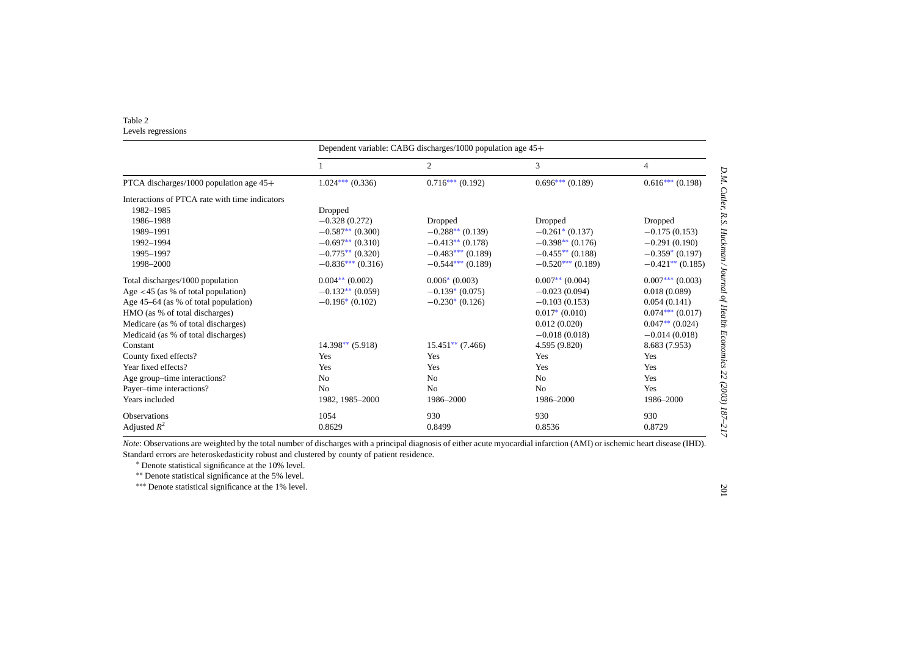#### <span id="page-14-0"></span>Table 2Levels regressions

|                                                | Dependent variable: CABG discharges/1000 population age 45+ |                     |                    |                    |
|------------------------------------------------|-------------------------------------------------------------|---------------------|--------------------|--------------------|
|                                                |                                                             | $\overline{2}$      | 3                  | $\overline{4}$     |
| PTCA discharges/1000 population age $45+$      | $1.024***(0.336)$                                           | $0.716***(0.192)$   | $0.696***(0.189)$  | $0.616***(0.198)$  |
| Interactions of PTCA rate with time indicators |                                                             |                     |                    |                    |
| 1982-1985                                      | Dropped                                                     |                     |                    |                    |
| 1986-1988                                      | $-0.328(0.272)$                                             | Dropped             | Dropped            | Dropped            |
| 1989-1991                                      | $-0.587**$ (0.300)                                          | $-0.288**$ (0.139)  | $-0.261*(0.137)$   | $-0.175(0.153)$    |
| 1992-1994                                      | $-0.697**$ (0.310)                                          | $-0.413**$ (0.178)  | $-0.398**$ (0.176) | $-0.291(0.190)$    |
| 1995-1997                                      | $-0.775**$ (0.320)                                          | $-0.483***(0.189)$  | $-0.455**$ (0.188) | $-0.359*$ (0.197)  |
| 1998-2000                                      | $-0.836***$ (0.316)                                         | $-0.544***$ (0.189) | $-0.520***(0.189)$ | $-0.421**$ (0.185) |
| Total discharges/1000 population               | $0.004**$ (0.002)                                           | $0.006*(0.003)$     | $0.007**$ (0.004)  | $0.007***$ (0.003) |
| Age $\lt$ 45 (as % of total population)        | $-0.132**$ (0.059)                                          | $-0.139*(0.075)$    | $-0.023(0.094)$    | 0.018(0.089)       |
| Age 45–64 (as % of total population)           | $-0.196*(0.102)$                                            | $-0.230*(0.126)$    | $-0.103(0.153)$    | 0.054(0.141)       |
| HMO (as % of total discharges)                 |                                                             |                     | $0.017*(0.010)$    | $0.074***$ (0.017) |
| Medicare (as % of total discharges)            |                                                             |                     | 0.012(0.020)       | $0.047**$ (0.024)  |
| Medicaid (as % of total discharges)            |                                                             |                     | $-0.018(0.018)$    | $-0.014(0.018)$    |
| Constant                                       | $14.398**$ (5.918)                                          | $15.451**$ (7.466)  | 4.595 (9.820)      | 8.683 (7.953)      |
| County fixed effects?                          | Yes                                                         | Yes                 | Yes                | Yes                |
| Year fixed effects?                            | Yes                                                         | Yes                 | Yes                | Yes                |
| Age group-time interactions?                   | N <sub>0</sub>                                              | N <sub>0</sub>      | N <sub>0</sub>     | Yes                |
| Payer-time interactions?                       | N <sub>0</sub>                                              | N <sub>0</sub>      | N <sub>0</sub>     | Yes                |
| Years included                                 | 1982, 1985-2000                                             | 1986-2000           | 1986-2000          | 1986-2000          |
| <b>Observations</b>                            | 1054                                                        | 930                 | 930                | 930                |
| Adjusted $R^2$                                 | 0.8629                                                      | 0.8499              | 0.8536             | 0.8729             |

*Note*: Observations are weighted by the total number of discharges with <sup>a</sup> principal diagnosis of either acute myocardial infarction (AMI) or ischemic heart disease (IHD). Standard errors are heteroskedasticity robust and clustered by county of patient residence.

∗ Denote statistical significance at the 10% level.

∗∗ Denote statistical significance at the 5% level.

∗∗∗ Denote statistical significance at the 1% level.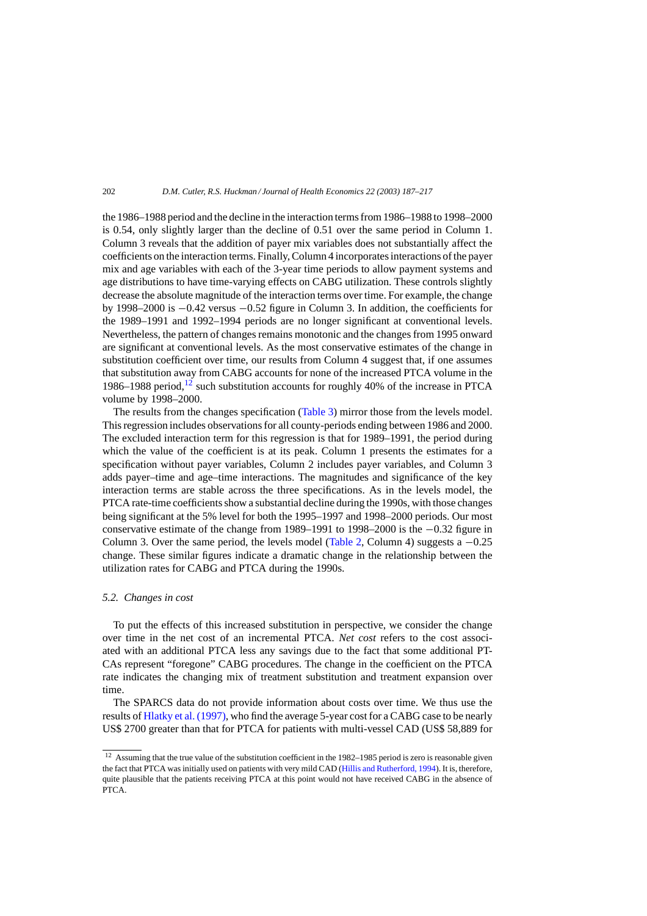the 1986–1988 period and the decline in the interaction terms from 1986–1988 to 1998–2000 is 0.54, only slightly larger than the decline of 0.51 over the same period in Column 1. Column 3 reveals that the addition of payer mix variables does not substantially affect the coefficients on the interaction terms. Finally, Column 4 incorporates interactions of the payer mix and age variables with each of the 3-year time periods to allow payment systems and age distributions to have time-varying effects on CABG utilization. These controls slightly decrease the absolute magnitude of the interaction terms over time. For example, the change by 1998–2000 is −0.42 versus −0.52 figure in Column 3. In addition, the coefficients for the 1989–1991 and 1992–1994 periods are no longer significant at conventional levels. Nevertheless, the pattern of changes remains monotonic and the changes from 1995 onward are significant at conventional levels. As the most conservative estimates of the change in substitution coefficient over time, our results from Column 4 suggest that, if one assumes that substitution away from CABG accounts for none of the increased PTCA volume in the 1986–1988 period,<sup>12</sup> such substitution accounts for roughly 40% of the increase in PTCA volume by 1998–2000.

The results from the changes specification [\(Table 3\)](#page-16-0) mirror those from the levels model. This regression includes observations for all county-periods ending between 1986 and 2000. The excluded interaction term for this regression is that for 1989–1991, the period during which the value of the coefficient is at its peak. Column 1 presents the estimates for a specification without payer variables, Column 2 includes payer variables, and Column 3 adds payer–time and age–time interactions. The magnitudes and significance of the key interaction terms are stable across the three specifications. As in the levels model, the PTCA rate-time coefficients show a substantial decline during the 1990s, with those changes being significant at the 5% level for both the 1995–1997 and 1998–2000 periods. Our most conservative estimate of the change from 1989–1991 to 1998–2000 is the −0.32 figure in Column 3. Over the same period, the levels model ([Table 2,](#page-14-0) Column 4) suggests a  $-0.25$ change. These similar figures indicate a dramatic change in the relationship between the utilization rates for CABG and PTCA during the 1990s.

#### *5.2. Changes in cost*

To put the effects of this increased substitution in perspective, we consider the change over time in the net cost of an incremental PTCA. *Net cost* refers to the cost associated with an additional PTCA less any savings due to the fact that some additional PT-CAs represent "foregone" CABG procedures. The change in the coefficient on the PTCA rate indicates the changing mix of treatment substitution and treatment expansion over time.

The SPARCS data do not provide information about costs over time. We thus use the results of [Hlatky et al. \(1997\), w](#page-29-0)ho find the average 5-year cost for a CABG case to be nearly US\$ 2700 greater than that for PTCA for patients with multi-vessel CAD (US\$ 58,889 for

<sup>&</sup>lt;sup>12</sup> Assuming that the true value of the substitution coefficient in the 1982–1985 period is zero is reasonable given the fact that PTCA was initially used on patients with very mild CAD [\(Hillis and Rutherford, 1994\). I](#page-29-0)t is, therefore, quite plausible that the patients receiving PTCA at this point would not have received CABG in the absence of PTCA.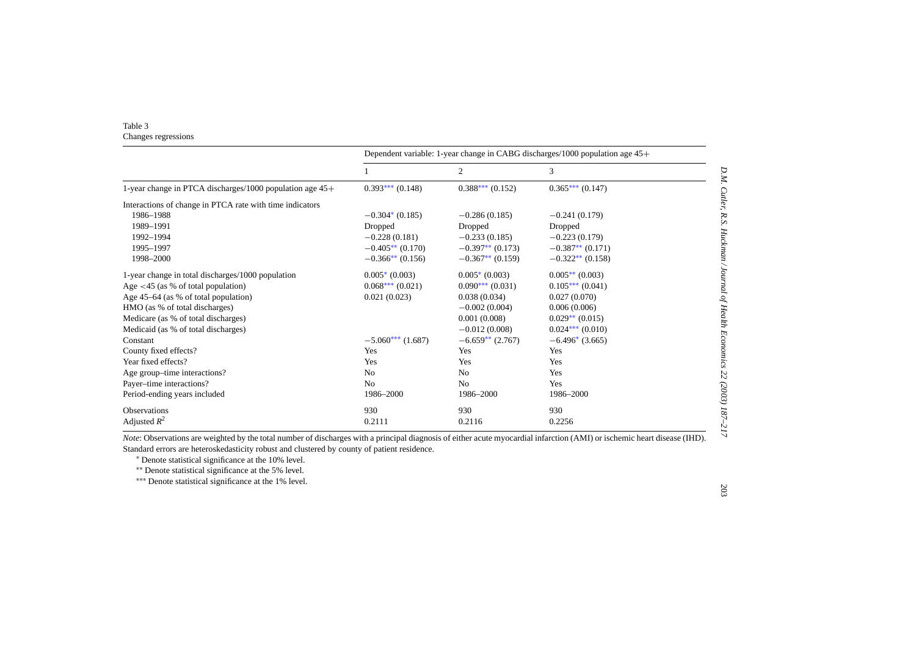#### <span id="page-16-0"></span>Table 3Changes regressions

|                                                            | Dependent variable: 1-year change in CABG discharges/1000 population age $45+$ |                    |                    |  |
|------------------------------------------------------------|--------------------------------------------------------------------------------|--------------------|--------------------|--|
|                                                            |                                                                                | $\overline{c}$     | 3                  |  |
| 1-year change in PTCA discharges/1000 population age $45+$ | $0.393***(0.148)$                                                              | $0.388***(0.152)$  | $0.365***(0.147)$  |  |
| Interactions of change in PTCA rate with time indicators   |                                                                                |                    |                    |  |
| 1986-1988                                                  | $-0.304*(0.185)$                                                               | $-0.286(0.185)$    | $-0.241(0.179)$    |  |
| 1989-1991                                                  | Dropped                                                                        | Dropped            | Dropped            |  |
| 1992-1994                                                  | $-0.228(0.181)$                                                                | $-0.233(0.185)$    | $-0.223(0.179)$    |  |
| 1995-1997                                                  | $-0.405**$ (0.170)                                                             | $-0.397**$ (0.173) | $-0.387**$ (0.171) |  |
| 1998-2000                                                  | $-0.366**$ (0.156)                                                             | $-0.367**$ (0.159) | $-0.322**$ (0.158) |  |
| 1-year change in total discharges/1000 population          | $0.005*$ (0.003)                                                               | $0.005*$ (0.003)   | $0.005**$ (0.003)  |  |
| Age $\lt 45$ (as % of total population)                    | $0.068***(0.021)$                                                              | $0.090***$ (0.031) | $0.105***(0.041)$  |  |
| Age 45–64 (as % of total population)                       | 0.021(0.023)                                                                   | 0.038(0.034)       | 0.027(0.070)       |  |
| HMO (as % of total discharges)                             |                                                                                | $-0.002(0.004)$    | 0.006(0.006)       |  |
| Medicare (as % of total discharges)                        |                                                                                | 0.001(0.008)       | $0.029**$ (0.015)  |  |
| Medicaid (as % of total discharges)                        |                                                                                | $-0.012(0.008)$    | $0.024***(0.010)$  |  |
| Constant                                                   | $-5.060***(1.687)$                                                             | $-6.659**$ (2.767) | $-6.496*(3.665)$   |  |
| County fixed effects?                                      | Yes                                                                            | Yes                | Yes                |  |
| Year fixed effects?                                        | Yes                                                                            | <b>Yes</b>         | Yes                |  |
| Age group-time interactions?                               | N <sub>0</sub>                                                                 | N <sub>0</sub>     | Yes                |  |
| Payer-time interactions?                                   | N <sub>0</sub>                                                                 | N <sub>0</sub>     | Yes                |  |
| Period-ending years included                               | 1986-2000                                                                      | 1986-2000          | 1986-2000          |  |
| <b>Observations</b>                                        | 930                                                                            | 930                | 930                |  |
| Adjusted $R^2$                                             | 0.2111                                                                         | 0.2116             | 0.2256             |  |

*Note*: Observations are weighted by the total number of discharges with <sup>a</sup> principal diagnosis of either acute myocardial infarction (AMI) or ischemic heart disease (IHD). Standard errors are heteroskedasticity robust and clustered by county of patient residence.

∗ Denote statistical significance at the 10% level.

∗∗ Denote statistical significance at the 5% level.

∗∗∗ Denote statistical significance at the 1% level.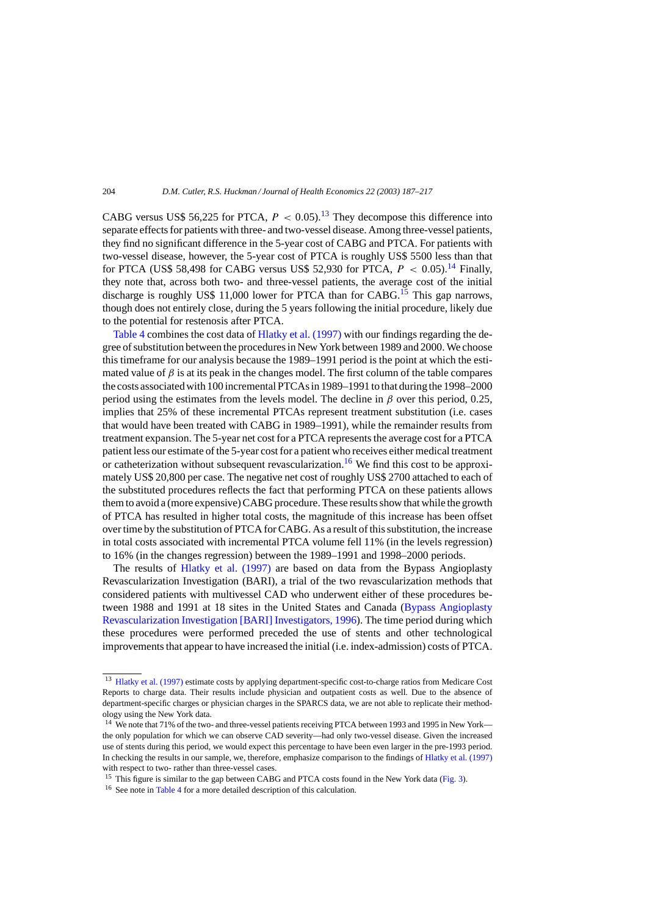CABG versus US\$ 56,225 for PTCA,  $P < 0.05$ .<sup>13</sup> They decompose this difference into separate effects for patients with three- and two-vessel disease. Among three-vessel patients, they find no significant difference in the 5-year cost of CABG and PTCA. For patients with two-vessel disease, however, the 5-year cost of PTCA is roughly US\$ 5500 less than that for PTCA (US\$ 58,498 for CABG versus US\$ 52,930 for PTCA,  $P < 0.05$ ).<sup>14</sup> Finally, they note that, across both two- and three-vessel patients, the average cost of the initial discharge is roughly US\$ 11,000 lower for PTCA than for CABG.<sup>15</sup> This gap narrows, though does not entirely close, during the 5 years following the initial procedure, likely due to the potential for restenosis after PTCA.

[Table 4](#page-18-0) combines the cost data of [Hlatky et al. \(1997\)](#page-29-0) with our findings regarding the degree of substitution between the procedures in New York between 1989 and 2000. We choose this timeframe for our analysis because the 1989–1991 period is the point at which the estimated value of  $\beta$  is at its peak in the changes model. The first column of the table compares the costs associated with 100 incremental PTCAs in 1989–1991 to that during the 1998–2000 period using the estimates from the levels model. The decline in  $\beta$  over this period, 0.25, implies that 25% of these incremental PTCAs represent treatment substitution (i.e. cases that would have been treated with CABG in 1989–1991), while the remainder results from treatment expansion. The 5-year net cost for a PTCA represents the average cost for a PTCA patient less our estimate of the 5-year cost for a patient who receives either medical treatment or catheterization without subsequent revascularization.<sup>16</sup> We find this cost to be approximately US\$ 20,800 per case. The negative net cost of roughly US\$ 2700 attached to each of the substituted procedures reflects the fact that performing PTCA on these patients allows them to avoid a (more expensive) CABG procedure. These results show that while the growth of PTCA has resulted in higher total costs, the magnitude of this increase has been offset over time by the substitution of PTCA for CABG. As a result of this substitution, the increase in total costs associated with incremental PTCA volume fell 11% (in the levels regression) to 16% (in the changes regression) between the 1989–1991 and 1998–2000 periods.

The results of [Hlatky et al. \(1997\)](#page-29-0) are based on data from the Bypass Angioplasty Revascularization Investigation (BARI), a trial of the two revascularization methods that considered patients with multivessel CAD who underwent either of these procedures between 1988 and 1991 at 18 sites in the United States and Canada ([Bypass Angioplasty](#page-29-0) [Revascularization Investigation \[BARI\] Investigators, 1996\).](#page-29-0) The time period during which these procedures were performed preceded the use of stents and other technological improvements that appear to have increased the initial (i.e. index-admission) costs of PTCA.

<sup>&</sup>lt;sup>13</sup> [Hlatky et al. \(1997\)](#page-29-0) estimate costs by applying department-specific cost-to-charge ratios from Medicare Cost Reports to charge data. Their results include physician and outpatient costs as well. Due to the absence of department-specific charges or physician charges in the SPARCS data, we are not able to replicate their methodology using the New York data.

<sup>&</sup>lt;sup>14</sup> We note that 71% of the two- and three-vessel patients receiving PTCA between 1993 and 1995 in New York the only population for which we can observe CAD severity—had only two-vessel disease. Given the increased use of stents during this period, we would expect this percentage to have been even larger in the pre-1993 period. In checking the results in our sample, we, therefore, emphasize comparison to the findings of [Hlatky et al. \(1997\)](#page-29-0) with respect to two- rather than three-vessel cases.

<sup>&</sup>lt;sup>15</sup> This figure is similar to the gap between CABG and PTCA costs found in the New York data ([Fig. 3\).](#page-12-0)

<sup>&</sup>lt;sup>16</sup> See note in [Table 4](#page-18-0) for a more detailed description of this calculation.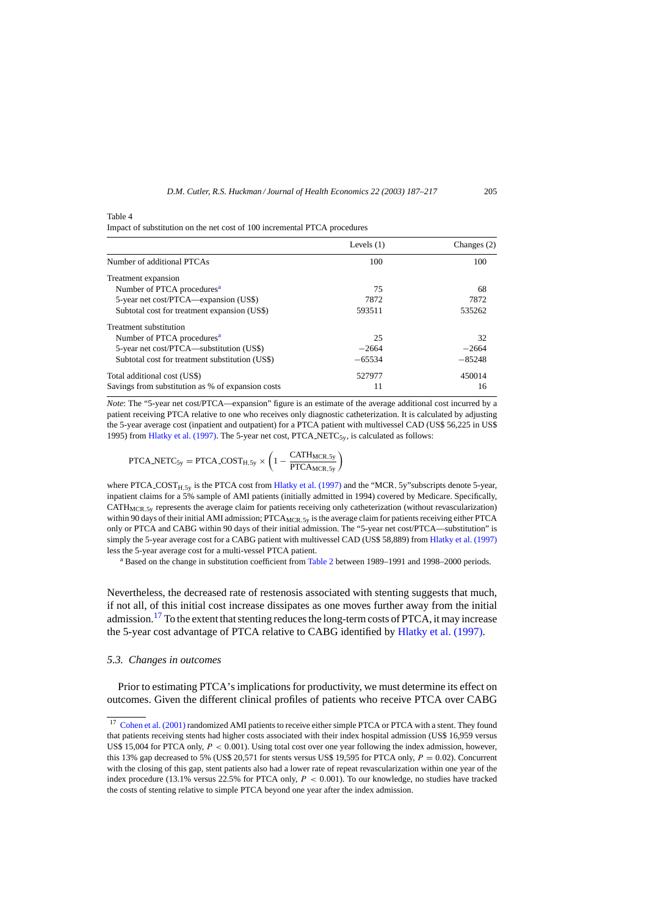#### <span id="page-18-0"></span>Table 4

| Impact of substitution on the net cost of 100 incremental PTCA procedures |  |
|---------------------------------------------------------------------------|--|
|---------------------------------------------------------------------------|--|

|                                                   | Levels $(1)$ | Changes $(2)$ |
|---------------------------------------------------|--------------|---------------|
| Number of additional PTCAs                        | 100          | 100           |
| Treatment expansion                               |              |               |
| Number of PTCA procedures <sup>a</sup>            | 75           | 68            |
| 5-year net cost/PTCA—expansion (US\$)             | 7872         | 7872          |
| Subtotal cost for treatment expansion (US\$)      | 593511       | 535262        |
| Treatment substitution                            |              |               |
| Number of PTCA procedures <sup>a</sup>            | 25           | 32            |
| 5-year net cost/PTCA—substitution (US\$)          | $-2664$      | $-2664$       |
| Subtotal cost for treatment substitution (US\$)   | $-65534$     | $-85248$      |
| Total additional cost (US\$)                      | 527977       | 450014        |
| Savings from substitution as % of expansion costs | 11           | 16            |

*Note*: The "5-year net cost/PTCA—expansion" figure is an estimate of the average additional cost incurred by a patient receiving PTCA relative to one who receives only diagnostic catheterization. It is calculated by adjusting the 5-year average cost (inpatient and outpatient) for a PTCA patient with multivessel CAD (US\$ 56,225 in US\$ 1995) from [Hlatky et al. \(1997\). T](#page-29-0)he 5-year net cost, PTCA\_NETC $_{5y}$ , is calculated as follows:

$$
PTCA\_NETC_{5y} = PTCA\_COST_{H,5y} \times \left(1 - \frac{CATH_{MCR,5y}}{PTCA_{MCR,5y}}\right)
$$

where PTCA\_COST<sub>H.5y</sub> is the PTCA cost from [Hlatky et al. \(1997\)](#page-29-0) and the "MCR, 5y"subscripts denote 5-year, inpatient claims for a 5% sample of AMI patients (initially admitted in 1994) covered by Medicare. Specifically,  $CATH_{MCR,5y}$  represents the average claim for patients receiving only catheterization (without revascularization) within 90 days of their initial AMI admission;  $PTCA_{MCR, 5y}$  is the average claim for patients receiving either PTCA only or PTCA and CABG within 90 days of their initial admission. The "5-year net cost/PTCA—substitution" is simply the 5-year average cost for a CABG patient with multivessel CAD (US\$ 58,889) from [Hlatky et al. \(1997\)](#page-29-0) less the 5-year average cost for a multi-vessel PTCA patient.

<sup>a</sup> Based on the change in substitution coefficient from [Table 2](#page-14-0) between 1989–1991 and 1998–2000 periods.

Nevertheless, the decreased rate of restenosis associated with stenting suggests that much, if not all, of this initial cost increase dissipates as one moves further away from the initial admission.<sup>17</sup> To the extent that stenting reduces the long-term costs of PTCA, it may increase the 5-year cost advantage of PTCA relative to CABG identified by [Hlatky et al. \(1997\).](#page-29-0)

#### *5.3. Changes in outcomes*

Prior to estimating PTCA's implications for productivity, we must determine its effect on outcomes. Given the different clinical profiles of patients who receive PTCA over CABG

<sup>&</sup>lt;sup>17</sup> [Cohen et al. \(2001\)](#page-29-0) randomized AMI patients to receive either simple PTCA or PTCA with a stent. They found that patients receiving stents had higher costs associated with their index hospital admission (US\$ 16,959 versus US\$ 15,004 for PTCA only,  $P < 0.001$ ). Using total cost over one year following the index admission, however, this 13% gap decreased to 5% (US\$ 20,571 for stents versus US\$ 19,595 for PTCA only,  $P = 0.02$ ). Concurrent with the closing of this gap, stent patients also had a lower rate of repeat revascularization within one year of the index procedure (13.1% versus 22.5% for PTCA only,  $P < 0.001$ ). To our knowledge, no studies have tracked the costs of stenting relative to simple PTCA beyond one year after the index admission.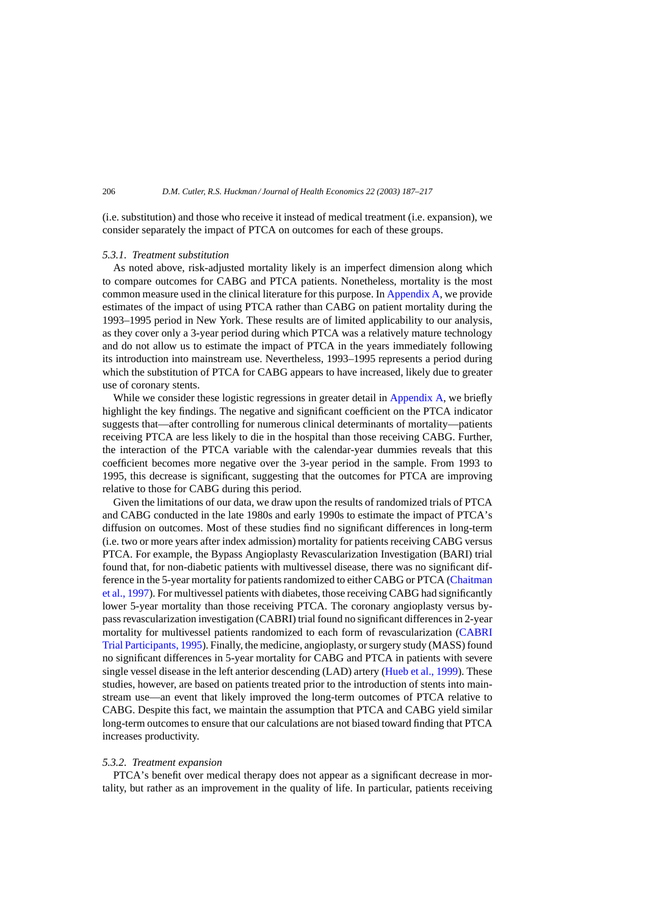(i.e. substitution) and those who receive it instead of medical treatment (i.e. expansion), we consider separately the impact of PTCA on outcomes for each of these groups.

#### *5.3.1. Treatment substitution*

As noted above, risk-adjusted mortality likely is an imperfect dimension along which to compare outcomes for CABG and PTCA patients. Nonetheless, mortality is the most common measure used in the clinical literature for this purpose. In [Appendix A, w](#page-25-0)e provide estimates of the impact of using PTCA rather than CABG on patient mortality during the 1993–1995 period in New York. These results are of limited applicability to our analysis, as they cover only a 3-year period during which PTCA was a relatively mature technology and do not allow us to estimate the impact of PTCA in the years immediately following its introduction into mainstream use. Nevertheless, 1993–1995 represents a period during which the substitution of PTCA for CABG appears to have increased, likely due to greater use of coronary stents.

While we consider these logistic regressions in greater detail in [Appendix A, w](#page-25-0)e briefly highlight the key findings. The negative and significant coefficient on the PTCA indicator suggests that—after controlling for numerous clinical determinants of mortality—patients receiving PTCA are less likely to die in the hospital than those receiving CABG. Further, the interaction of the PTCA variable with the calendar-year dummies reveals that this coefficient becomes more negative over the 3-year period in the sample. From 1993 to 1995, this decrease is significant, suggesting that the outcomes for PTCA are improving relative to those for CABG during this period.

Given the limitations of our data, we draw upon the results of randomized trials of PTCA and CABG conducted in the late 1980s and early 1990s to estimate the impact of PTCA's diffusion on outcomes. Most of these studies find no significant differences in long-term (i.e. two or more years after index admission) mortality for patients receiving CABG versus PTCA. For example, the Bypass Angioplasty Revascularization Investigation (BARI) trial found that, for non-diabetic patients with multivessel disease, there was no significant difference in the 5-year mortality for patients randomized to either CABG or PTCA [\(Chaitman](#page-29-0) [et al., 1997\).](#page-29-0) For multivessel patients with diabetes, those receiving CABG had significantly lower 5-year mortality than those receiving PTCA. The coronary angioplasty versus bypass revascularization investigation (CABRI) trial found no significant differences in 2-year mortality for multivessel patients randomized to each form of revascularization [\(CABRI](#page-29-0) [Trial Participants, 1995\).](#page-29-0) Finally, the medicine, angioplasty, or surgery study (MASS) found no significant differences in 5-year mortality for CABG and PTCA in patients with severe single vessel disease in the left anterior descending (LAD) artery [\(Hueb et al., 1999\).](#page-30-0) These studies, however, are based on patients treated prior to the introduction of stents into mainstream use—an event that likely improved the long-term outcomes of PTCA relative to CABG. Despite this fact, we maintain the assumption that PTCA and CABG yield similar long-term outcomes to ensure that our calculations are not biased toward finding that PTCA increases productivity.

#### *5.3.2. Treatment expansion*

PTCA's benefit over medical therapy does not appear as a significant decrease in mortality, but rather as an improvement in the quality of life. In particular, patients receiving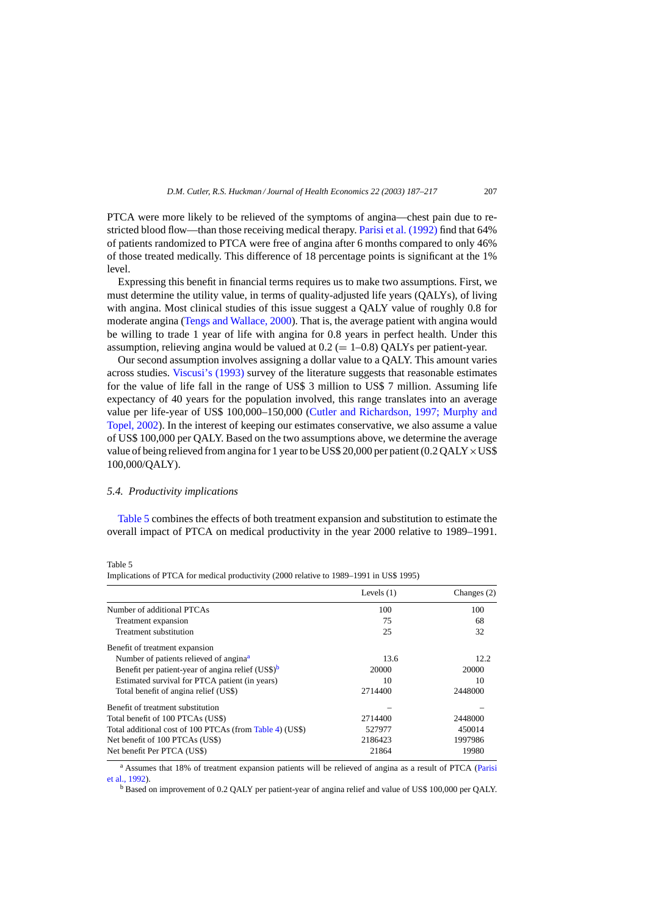<span id="page-20-0"></span>PTCA were more likely to be relieved of the symptoms of angina—chest pain due to restricted blood flow—than those receiving medical therapy. [Parisi et al. \(1992\)](#page-30-0) find that 64% of patients randomized to PTCA were free of angina after 6 months compared to only 46% of those treated medically. This difference of 18 percentage points is significant at the 1% level.

Expressing this benefit in financial terms requires us to make two assumptions. First, we must determine the utility value, in terms of quality-adjusted life years (QALYs), of living with angina. Most clinical studies of this issue suggest a QALY value of roughly 0.8 for moderate angina ([Tengs and Wallace, 2000\).](#page-30-0) That is, the average patient with angina would be willing to trade 1 year of life with angina for 0.8 years in perfect health. Under this assumption, relieving angina would be valued at  $0.2 (= 1-0.8)$  QALYs per patient-year.

Our second assumption involves assigning a dollar value to a QALY. This amount varies across studies. [Viscusi's \(1993\)](#page-30-0) survey of the literature suggests that reasonable estimates for the value of life fall in the range of US\$ 3 million to US\$ 7 million. Assuming life expectancy of 40 years for the population involved, this range translates into an average value per life-year of US\$ 100,000–150,000 ([Cutler and Richardson, 1997; Murphy and](#page-29-0) [Topel, 2002\).](#page-29-0) In the interest of keeping our estimates conservative, we also assume a value of US\$ 100,000 per QALY. Based on the two assumptions above, we determine the average value of being relieved from angina for 1 year to be US\$ 20,000 per patient  $(0.2 QALY \times US$$ 100,000/QALY).

#### *5.4. Productivity implications*

Table 5 combines the effects of both treatment expansion and substitution to estimate the overall impact of PTCA on medical productivity in the year 2000 relative to 1989–1991.

Table 5

Implications of PTCA for medical productivity (2000 relative to 1989–1991 in US\$ 1995)

|                                                               | Levels $(1)$ | Changes $(2)$ |
|---------------------------------------------------------------|--------------|---------------|
| Number of additional PTCAs                                    | 100          | 100           |
| Treatment expansion                                           | 75           | 68            |
| Treatment substitution                                        | 25           | 32            |
| Benefit of treatment expansion                                |              |               |
| Number of patients relieved of angina <sup>a</sup>            | 13.6         | 12.2          |
| Benefit per patient-year of angina relief (US\$) <sup>b</sup> | 20000        | 20000         |
| Estimated survival for PTCA patient (in years)                | 10           | 10            |
| Total benefit of angina relief (US\$)                         | 2714400      | 2448000       |
| Benefit of treatment substitution                             |              |               |
| Total benefit of 100 PTCAs (US\$)                             | 2714400      | 2448000       |
| Total additional cost of 100 PTCAs (from Table 4) (US\$)      | 527977       | 450014        |
| Net benefit of 100 PTCAs (US\$)                               | 2186423      | 1997986       |
| Net benefit Per PTCA (US\$)                                   | 21864        | 19980         |

<sup>a</sup> Assumes that 18% of treatment expansion patients will be relieved of angina as a result of PTCA [\(Parisi](#page-30-0) [et al., 1992\).](#page-30-0)

<sup>b</sup> Based on improvement of 0.2 QALY per patient-year of angina relief and value of US\$ 100,000 per QALY.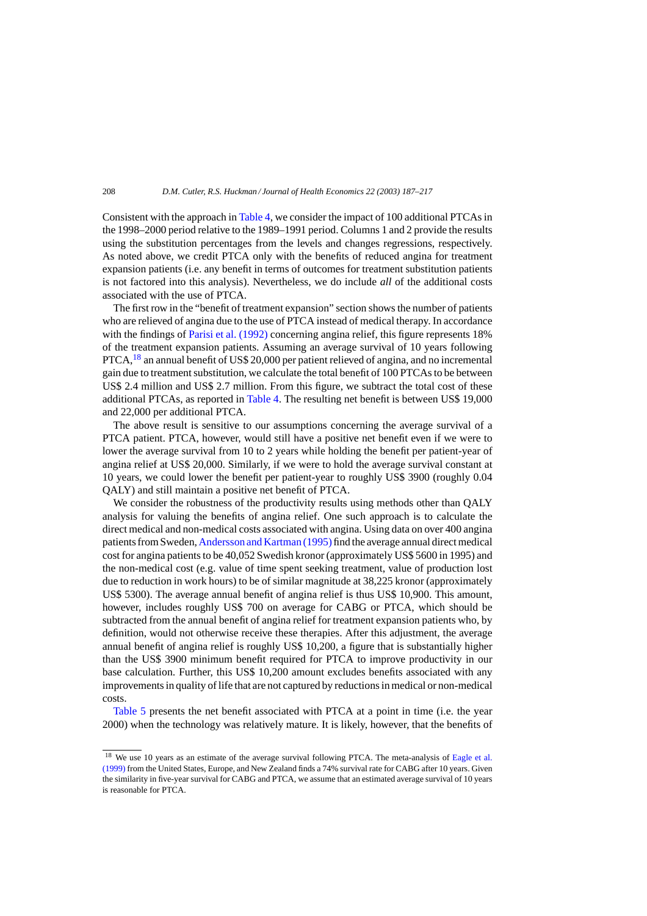Consistent with the approach in [Table 4, w](#page-18-0)e consider the impact of 100 additional PTCAs in the 1998–2000 period relative to the 1989–1991 period. Columns 1 and 2 provide the results using the substitution percentages from the levels and changes regressions, respectively. As noted above, we credit PTCA only with the benefits of reduced angina for treatment expansion patients (i.e. any benefit in terms of outcomes for treatment substitution patients is not factored into this analysis). Nevertheless, we do include *all* of the additional costs associated with the use of PTCA.

The first row in the "benefit of treatment expansion" section shows the number of patients who are relieved of angina due to the use of PTCA instead of medical therapy. In accordance with the findings of [Parisi et al. \(1992\)](#page-30-0) concerning angina relief, this figure represents 18% of the treatment expansion patients. Assuming an average survival of 10 years following PTCA, <sup>18</sup> an annual benefit of US\$ 20,000 per patient relieved of angina, and no incremental gain due to treatment substitution, we calculate the total benefit of 100 PTCAs to be between US\$ 2.4 million and US\$ 2.7 million. From this figure, we subtract the total cost of these additional PTCAs, as reported in [Table 4. T](#page-18-0)he resulting net benefit is between US\$ 19,000 and 22,000 per additional PTCA.

The above result is sensitive to our assumptions concerning the average survival of a PTCA patient. PTCA, however, would still have a positive net benefit even if we were to lower the average survival from 10 to 2 years while holding the benefit per patient-year of angina relief at US\$ 20,000. Similarly, if we were to hold the average survival constant at 10 years, we could lower the benefit per patient-year to roughly US\$ 3900 (roughly 0.04 QALY) and still maintain a positive net benefit of PTCA.

We consider the robustness of the productivity results using methods other than QALY analysis for valuing the benefits of angina relief. One such approach is to calculate the direct medical and non-medical costs associated with angina. Using data on over 400 angina patients from Sweden,[Andersson and Kartman \(1995\)](#page-29-0) find the average annual direct medical cost for angina patients to be 40,052 Swedish kronor (approximately US\$ 5600 in 1995) and the non-medical cost (e.g. value of time spent seeking treatment, value of production lost due to reduction in work hours) to be of similar magnitude at 38,225 kronor (approximately US\$ 5300). The average annual benefit of angina relief is thus US\$ 10,900. This amount, however, includes roughly US\$ 700 on average for CABG or PTCA, which should be subtracted from the annual benefit of angina relief for treatment expansion patients who, by definition, would not otherwise receive these therapies. After this adjustment, the average annual benefit of angina relief is roughly US\$ 10,200, a figure that is substantially higher than the US\$ 3900 minimum benefit required for PTCA to improve productivity in our base calculation. Further, this US\$ 10,200 amount excludes benefits associated with any improvements in quality of life that are not captured by reductions in medical or non-medical costs.

[Table 5](#page-20-0) presents the net benefit associated with PTCA at a point in time (i.e. the year 2000) when the technology was relatively mature. It is likely, however, that the benefits of

<sup>&</sup>lt;sup>18</sup> We use 10 years as an estimate of the average survival following PTCA. The meta-analysis of [Eagle et al.](#page-29-0) [\(1999\)](#page-29-0) from the United States, Europe, and New Zealand finds a 74% survival rate for CABG after 10 years. Given the similarity in five-year survival for CABG and PTCA, we assume that an estimated average survival of 10 years is reasonable for PTCA.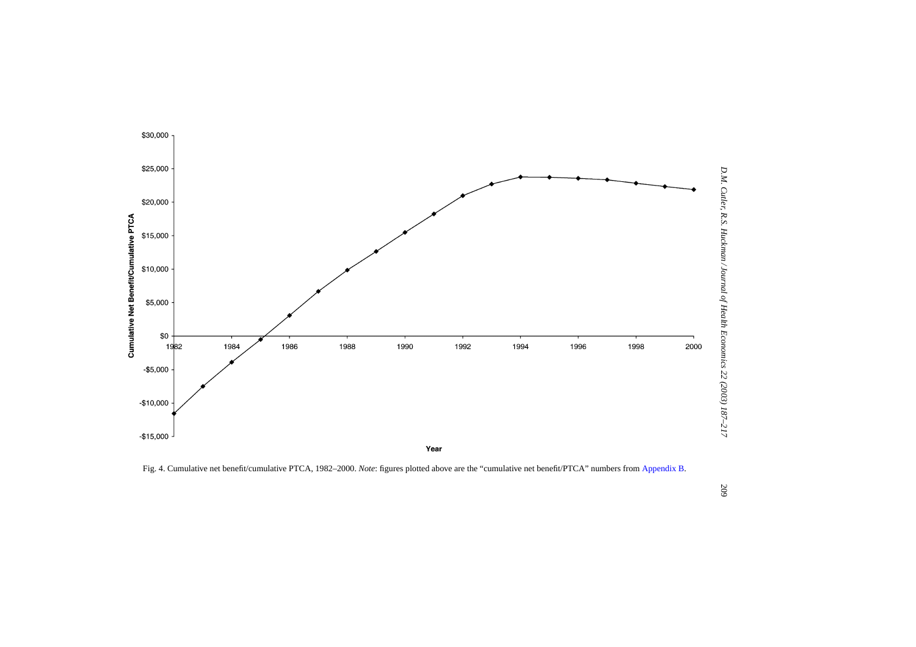<span id="page-22-0"></span>

<sup>209</sup> Fig. 4. Cumulative net benefit/cumulative PTCA, 1982–2000. *Note*: figures <sup>p</sup>lotted above are the "cumulative net benefit/PTCA" numbers from [Appendix](#page-28-0) B.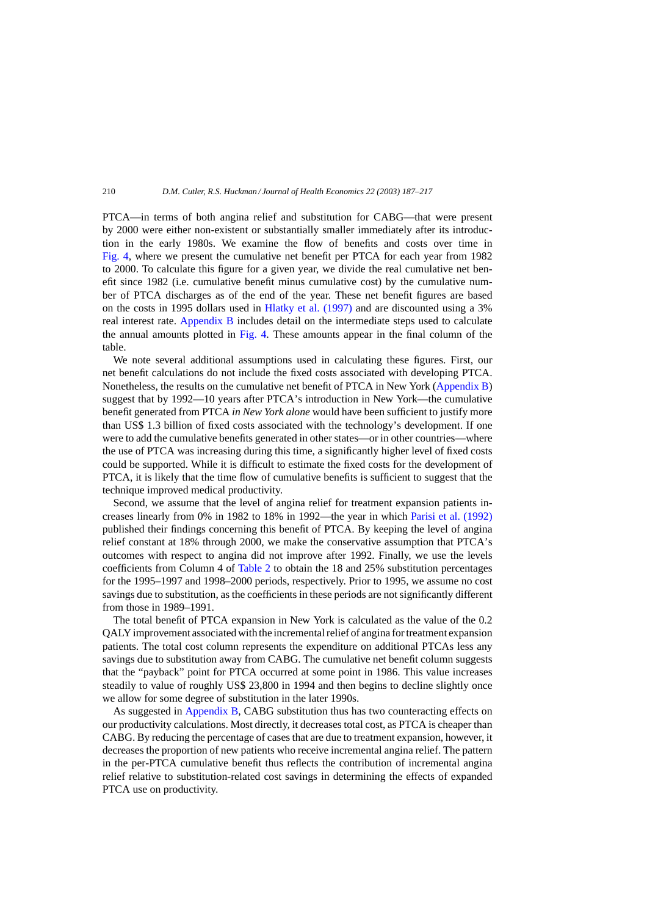PTCA—in terms of both angina relief and substitution for CABG—that were present by 2000 were either non-existent or substantially smaller immediately after its introduction in the early 1980s. We examine the flow of benefits and costs over time in [Fig. 4,](#page-22-0) where we present the cumulative net benefit per PTCA for each year from 1982 to 2000. To calculate this figure for a given year, we divide the real cumulative net benefit since 1982 (i.e. cumulative benefit minus cumulative cost) by the cumulative number of PTCA discharges as of the end of the year. These net benefit figures are based on the costs in 1995 dollars used in [Hlatky et al. \(1997\)](#page-29-0) and are discounted using a 3% real interest rate. [Appendix B](#page-28-0) includes detail on the intermediate steps used to calculate the annual amounts plotted in [Fig. 4.](#page-22-0) These amounts appear in the final column of the table.

We note several additional assumptions used in calculating these figures. First, our net benefit calculations do not include the fixed costs associated with developing PTCA. Nonetheless, the results on the cumulative net benefit of PTCA in New York [\(Appendix B\)](#page-28-0) suggest that by 1992—10 years after PTCA's introduction in New York—the cumulative benefit generated from PTCA *in New York alone* would have been sufficient to justify more than US\$ 1.3 billion of fixed costs associated with the technology's development. If one were to add the cumulative benefits generated in other states—or in other countries—where the use of PTCA was increasing during this time, a significantly higher level of fixed costs could be supported. While it is difficult to estimate the fixed costs for the development of PTCA, it is likely that the time flow of cumulative benefits is sufficient to suggest that the technique improved medical productivity.

Second, we assume that the level of angina relief for treatment expansion patients increases linearly from 0% in 1982 to 18% in 1992—the year in which [Parisi et al. \(1992\)](#page-30-0) published their findings concerning this benefit of PTCA. By keeping the level of angina relief constant at 18% through 2000, we make the conservative assumption that PTCA's outcomes with respect to angina did not improve after 1992. Finally, we use the levels coefficients from Column 4 of [Table 2](#page-14-0) to obtain the 18 and 25% substitution percentages for the 1995–1997 and 1998–2000 periods, respectively. Prior to 1995, we assume no cost savings due to substitution, as the coefficients in these periods are not significantly different from those in 1989–1991.

The total benefit of PTCA expansion in New York is calculated as the value of the 0.2 QALY improvement associated with the incremental relief of angina for treatment expansion patients. The total cost column represents the expenditure on additional PTCAs less any savings due to substitution away from CABG. The cumulative net benefit column suggests that the "payback" point for PTCA occurred at some point in 1986. This value increases steadily to value of roughly US\$ 23,800 in 1994 and then begins to decline slightly once we allow for some degree of substitution in the later 1990s.

As suggested in [Appendix B,](#page-28-0) CABG substitution thus has two counteracting effects on our productivity calculations. Most directly, it decreases total cost, as PTCA is cheaper than CABG. By reducing the percentage of cases that are due to treatment expansion, however, it decreases the proportion of new patients who receive incremental angina relief. The pattern in the per-PTCA cumulative benefit thus reflects the contribution of incremental angina relief relative to substitution-related cost savings in determining the effects of expanded PTCA use on productivity.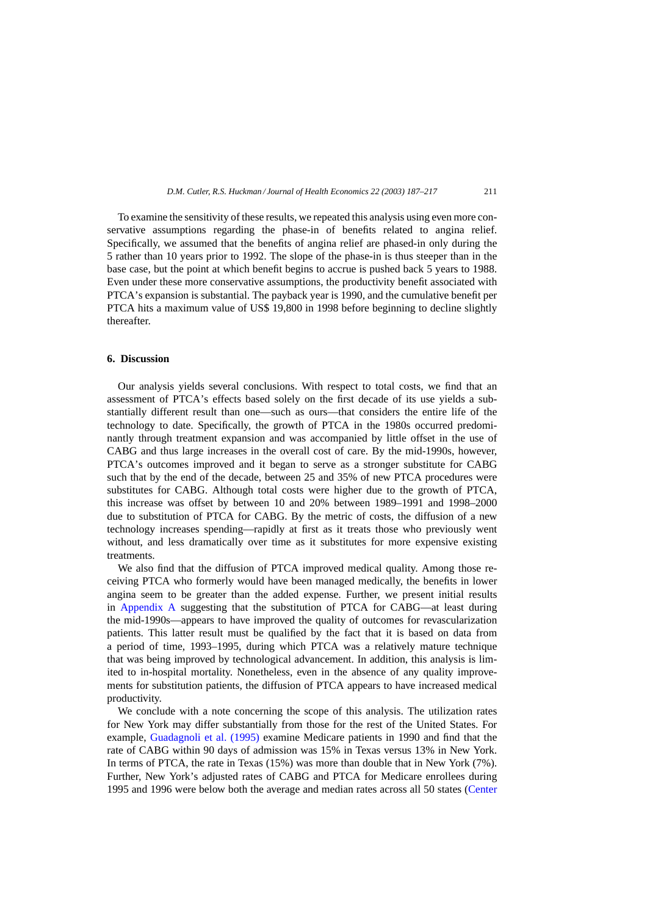<span id="page-24-0"></span>To examine the sensitivity of these results, we repeated this analysis using even more conservative assumptions regarding the phase-in of benefits related to angina relief. Specifically, we assumed that the benefits of angina relief are phased-in only during the 5 rather than 10 years prior to 1992. The slope of the phase-in is thus steeper than in the base case, but the point at which benefit begins to accrue is pushed back 5 years to 1988. Even under these more conservative assumptions, the productivity benefit associated with PTCA's expansion is substantial. The payback year is 1990, and the cumulative benefit per PTCA hits a maximum value of US\$ 19,800 in 1998 before beginning to decline slightly thereafter.

#### **6. Discussion**

Our analysis yields several conclusions. With respect to total costs, we find that an assessment of PTCA's effects based solely on the first decade of its use yields a substantially different result than one—such as ours—that considers the entire life of the technology to date. Specifically, the growth of PTCA in the 1980s occurred predominantly through treatment expansion and was accompanied by little offset in the use of CABG and thus large increases in the overall cost of care. By the mid-1990s, however, PTCA's outcomes improved and it began to serve as a stronger substitute for CABG such that by the end of the decade, between 25 and 35% of new PTCA procedures were substitutes for CABG. Although total costs were higher due to the growth of PTCA, this increase was offset by between 10 and 20% between 1989–1991 and 1998–2000 due to substitution of PTCA for CABG. By the metric of costs, the diffusion of a new technology increases spending—rapidly at first as it treats those who previously went without, and less dramatically over time as it substitutes for more expensive existing treatments.

We also find that the diffusion of PTCA improved medical quality. Among those receiving PTCA who formerly would have been managed medically, the benefits in lower angina seem to be greater than the added expense. Further, we present initial results in [Appendix A](#page-25-0) suggesting that the substitution of PTCA for CABG—at least during the mid-1990s—appears to have improved the quality of outcomes for revascularization patients. This latter result must be qualified by the fact that it is based on data from a period of time, 1993–1995, during which PTCA was a relatively mature technique that was being improved by technological advancement. In addition, this analysis is limited to in-hospital mortality. Nonetheless, even in the absence of any quality improvements for substitution patients, the diffusion of PTCA appears to have increased medical productivity.

We conclude with a note concerning the scope of this analysis. The utilization rates for New York may differ substantially from those for the rest of the United States. For example, [Guadagnoli et al. \(1995\)](#page-29-0) examine Medicare patients in 1990 and find that the rate of CABG within 90 days of admission was 15% in Texas versus 13% in New York. In terms of PTCA, the rate in Texas (15%) was more than double that in New York (7%). Further, New York's adjusted rates of CABG and PTCA for Medicare enrollees during 1995 and 1996 were below both the average and median rates across all 50 states ([Center](#page-29-0)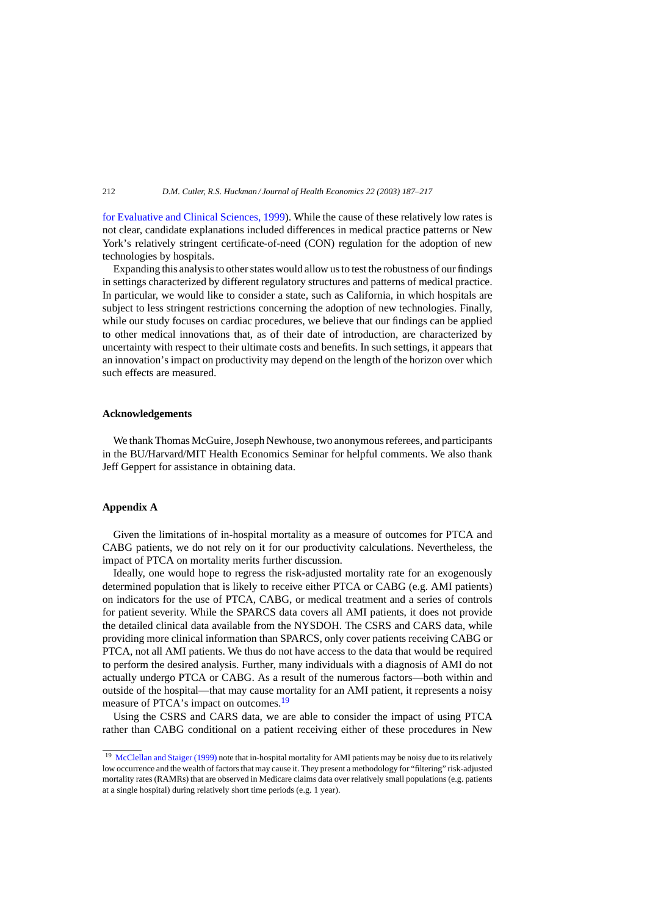<span id="page-25-0"></span>[for Evaluative and Clinical Sciences, 1999\).](#page-29-0) While the cause of these relatively low rates is not clear, candidate explanations included differences in medical practice patterns or New York's relatively stringent certificate-of-need (CON) regulation for the adoption of new technologies by hospitals.

Expanding this analysis to other states would allow us to test the robustness of our findings in settings characterized by different regulatory structures and patterns of medical practice. In particular, we would like to consider a state, such as California, in which hospitals are subject to less stringent restrictions concerning the adoption of new technologies. Finally, while our study focuses on cardiac procedures, we believe that our findings can be applied to other medical innovations that, as of their date of introduction, are characterized by uncertainty with respect to their ultimate costs and benefits. In such settings, it appears that an innovation's impact on productivity may depend on the length of the horizon over which such effects are measured.

#### **Acknowledgements**

We thank Thomas McGuire, Joseph Newhouse, two anonymous referees, and participants in the BU/Harvard/MIT Health Economics Seminar for helpful comments. We also thank Jeff Geppert for assistance in obtaining data.

#### **Appendix A**

Given the limitations of in-hospital mortality as a measure of outcomes for PTCA and CABG patients, we do not rely on it for our productivity calculations. Nevertheless, the impact of PTCA on mortality merits further discussion.

Ideally, one would hope to regress the risk-adjusted mortality rate for an exogenously determined population that is likely to receive either PTCA or CABG (e.g. AMI patients) on indicators for the use of PTCA, CABG, or medical treatment and a series of controls for patient severity. While the SPARCS data covers all AMI patients, it does not provide the detailed clinical data available from the NYSDOH. The CSRS and CARS data, while providing more clinical information than SPARCS, only cover patients receiving CABG or PTCA, not all AMI patients. We thus do not have access to the data that would be required to perform the desired analysis. Further, many individuals with a diagnosis of AMI do not actually undergo PTCA or CABG. As a result of the numerous factors—both within and outside of the hospital—that may cause mortality for an AMI patient, it represents a noisy measure of PTCA's impact on outcomes.<sup>19</sup>

Using the CSRS and CARS data, we are able to consider the impact of using PTCA rather than CABG conditional on a patient receiving either of these procedures in New

<sup>&</sup>lt;sup>19</sup> [McClellan and Staiger \(1999\)](#page-30-0) note that in-hospital mortality for AMI patients may be noisy due to its relatively low occurrence and the wealth of factors that may cause it. They present a methodology for "filtering" risk-adjusted mortality rates (RAMRs) that are observed in Medicare claims data over relatively small populations (e.g. patients at a single hospital) during relatively short time periods (e.g. 1 year).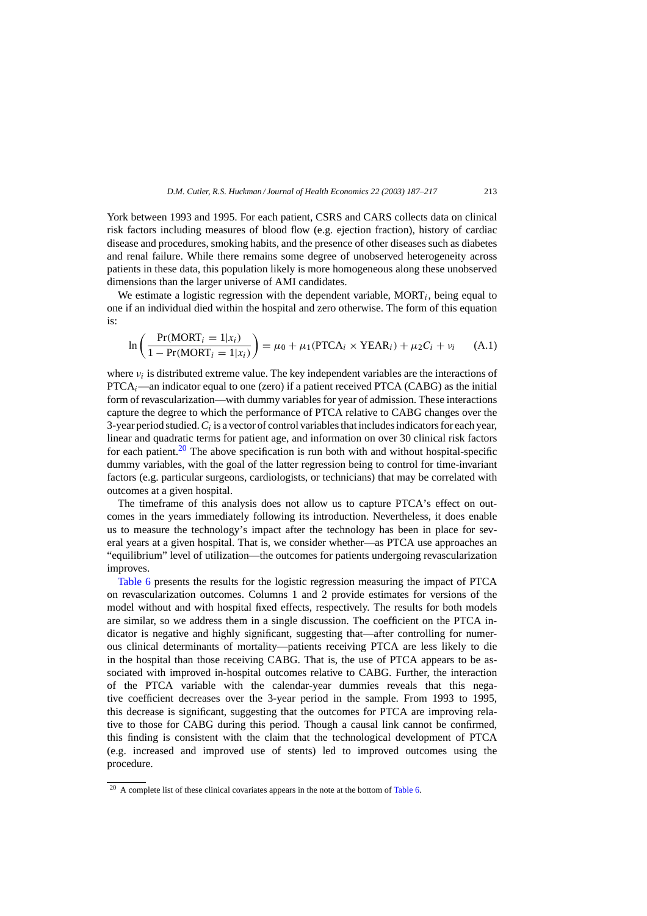York between 1993 and 1995. For each patient, CSRS and CARS collects data on clinical risk factors including measures of blood flow (e.g. ejection fraction), history of cardiac disease and procedures, smoking habits, and the presence of other diseases such as diabetes and renal failure. While there remains some degree of unobserved heterogeneity across patients in these data, this population likely is more homogeneous along these unobserved dimensions than the larger universe of AMI candidates.

We estimate a logistic regression with the dependent variable,  $MORT<sub>i</sub>$ , being equal to one if an individual died within the hospital and zero otherwise. The form of this equation is:

$$
\ln\left(\frac{\Pr(\text{MORT}_i = 1|x_i)}{1 - \Pr(\text{MORT}_i = 1|x_i)}\right) = \mu_0 + \mu_1(\text{PTCA}_i \times \text{YEAR}_i) + \mu_2 C_i + \nu_i \tag{A.1}
$$

where  $v_i$  is distributed extreme value. The key independent variables are the interactions of  $PTCA<sub>i</sub>$ —an indicator equal to one (zero) if a patient received PTCA (CABG) as the initial form of revascularization—with dummy variables for year of admission. These interactions capture the degree to which the performance of PTCA relative to CABG changes over the 3-year period studied.  $C_i$  is a vector of control variables that includes indicators for each year, linear and quadratic terms for patient age, and information on over 30 clinical risk factors for each patient.<sup>20</sup> The above specification is run both with and without hospital-specific dummy variables, with the goal of the latter regression being to control for time-invariant factors (e.g. particular surgeons, cardiologists, or technicians) that may be correlated with outcomes at a given hospital.

The timeframe of this analysis does not allow us to capture PTCA's effect on outcomes in the years immediately following its introduction. Nevertheless, it does enable us to measure the technology's impact after the technology has been in place for several years at a given hospital. That is, we consider whether—as PTCA use approaches an "equilibrium" level of utilization—the outcomes for patients undergoing revascularization improves.

[Table 6](#page-27-0) presents the results for the logistic regression measuring the impact of PTCA on revascularization outcomes. Columns 1 and 2 provide estimates for versions of the model without and with hospital fixed effects, respectively. The results for both models are similar, so we address them in a single discussion. The coefficient on the PTCA indicator is negative and highly significant, suggesting that—after controlling for numerous clinical determinants of mortality—patients receiving PTCA are less likely to die in the hospital than those receiving CABG. That is, the use of PTCA appears to be associated with improved in-hospital outcomes relative to CABG. Further, the interaction of the PTCA variable with the calendar-year dummies reveals that this negative coefficient decreases over the 3-year period in the sample. From 1993 to 1995, this decrease is significant, suggesting that the outcomes for PTCA are improving relative to those for CABG during this period. Though a causal link cannot be confirmed, this finding is consistent with the claim that the technological development of PTCA (e.g. increased and improved use of stents) led to improved outcomes using the procedure.

<sup>&</sup>lt;sup>20</sup> A complete list of these clinical covariates appears in the note at the bottom of [Table 6.](#page-27-0)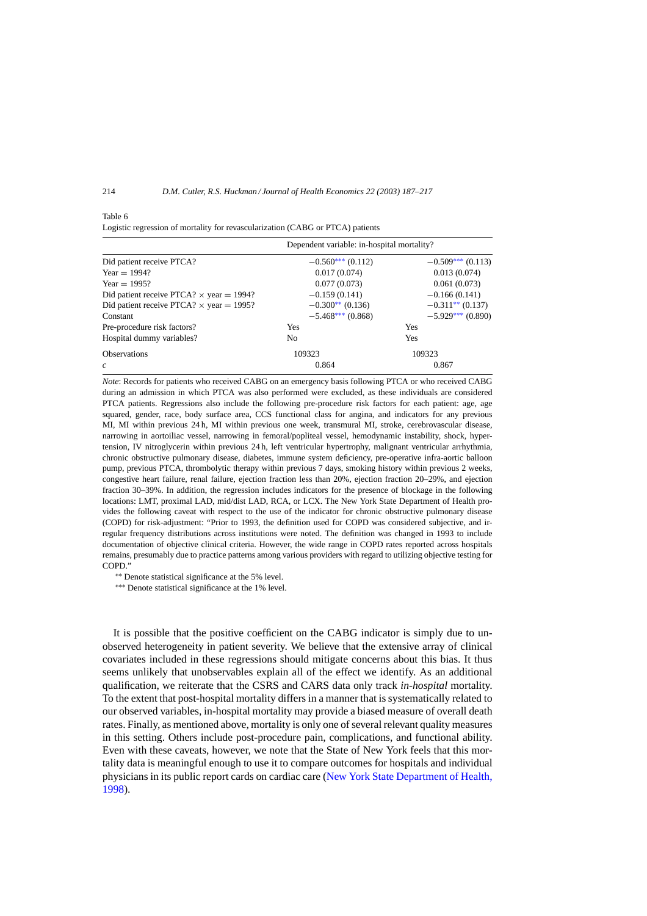|                                                 | Dependent variable: in-hospital mortality? |                     |  |  |
|-------------------------------------------------|--------------------------------------------|---------------------|--|--|
| Did patient receive PTCA?                       | $-0.560***$ (0.112)                        | $-0.509***$ (0.113) |  |  |
| Year = $1994$ ?                                 | 0.017(0.074)                               | 0.013(0.074)        |  |  |
| Year = $1995$ ?                                 | 0.077(0.073)                               | 0.061(0.073)        |  |  |
| Did patient receive PTCA? $\times$ year = 1994? | $-0.159(0.141)$                            | $-0.166(0.141)$     |  |  |
| Did patient receive PTCA? $\times$ year = 1995? | $-0.300**$ (0.136)                         | $-0.311**$ (0.137)  |  |  |
| Constant                                        | $-5.468***(0.868)$                         | $-5.929***(0.890)$  |  |  |
| Pre-procedure risk factors?                     | Yes                                        | Yes                 |  |  |
| Hospital dummy variables?                       | No                                         | Yes                 |  |  |
| <b>Observations</b>                             | 109323                                     | 109323              |  |  |
| $\epsilon$                                      | 0.864                                      | 0.867               |  |  |

#### Table 6 Logistic regression of mortality for revascularization (CABG or PTCA) patients

*Note*: Records for patients who received CABG on an emergency basis following PTCA or who received CABG during an admission in which PTCA was also performed were excluded, as these individuals are considered PTCA patients. Regressions also include the following pre-procedure risk factors for each patient: age, age squared, gender, race, body surface area, CCS functional class for angina, and indicators for any previous MI, MI within previous 24 h, MI within previous one week, transmural MI, stroke, cerebrovascular disease, narrowing in aortoiliac vessel, narrowing in femoral/popliteal vessel, hemodynamic instability, shock, hypertension, IV nitroglycerin within previous 24 h, left ventricular hypertrophy, malignant ventricular arrhythmia, chronic obstructive pulmonary disease, diabetes, immune system deficiency, pre-operative infra-aortic balloon pump, previous PTCA, thrombolytic therapy within previous 7 days, smoking history within previous 2 weeks, congestive heart failure, renal failure, ejection fraction less than 20%, ejection fraction 20–29%, and ejection fraction 30–39%. In addition, the regression includes indicators for the presence of blockage in the following locations: LMT, proximal LAD, mid/dist LAD, RCA, or LCX. The New York State Department of Health provides the following caveat with respect to the use of the indicator for chronic obstructive pulmonary disease (COPD) for risk-adjustment: "Prior to 1993, the definition used for COPD was considered subjective, and irregular frequency distributions across institutions were noted. The definition was changed in 1993 to include documentation of objective clinical criteria. However, the wide range in COPD rates reported across hospitals remains, presumably due to practice patterns among various providers with regard to utilizing objective testing for COPD."

∗∗ Denote statistical significance at the 5% level.

∗∗∗ Denote statistical significance at the 1% level.

It is possible that the positive coefficient on the CABG indicator is simply due to unobserved heterogeneity in patient severity. We believe that the extensive array of clinical covariates included in these regressions should mitigate concerns about this bias. It thus seems unlikely that unobservables explain all of the effect we identify. As an additional qualification, we reiterate that the CSRS and CARS data only track *in-hospital* mortality. To the extent that post-hospital mortality differs in a manner that is systematically related to our observed variables, in-hospital mortality may provide a biased measure of overall death rates. Finally, as mentioned above, mortality is only one of several relevant quality measures in this setting. Others include post-procedure pain, complications, and functional ability. Even with these caveats, however, we note that the State of New York feels that this mortality data is meaningful enough to use it to compare outcomes for hospitals and individual physicians in its public report cards on cardiac care [\(New York State Department of Health,](#page-30-0) [1998\).](#page-30-0)

<span id="page-27-0"></span>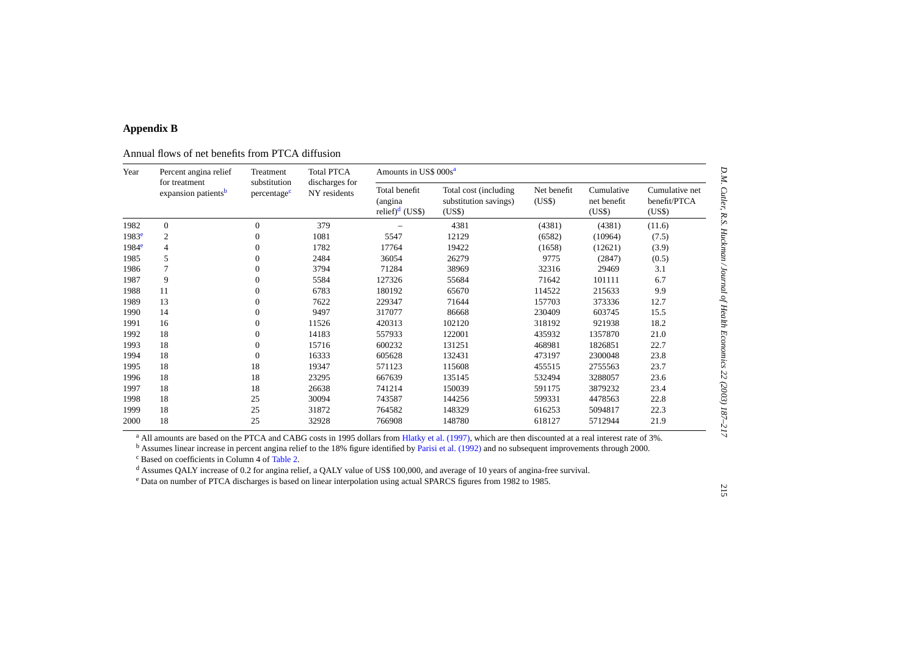### <span id="page-28-0"></span>**Appendix B**

| Year              | Percent angina relief<br>for treatment<br>expansion patients <sup>b</sup> | Treatment<br>substitution<br>percentage <sup>c</sup> | <b>Total PTCA</b><br>discharges for<br>NY residents | Amounts in US\$ 000s <sup>a</sup>                       |                                                          |                       |                                     |                                          |
|-------------------|---------------------------------------------------------------------------|------------------------------------------------------|-----------------------------------------------------|---------------------------------------------------------|----------------------------------------------------------|-----------------------|-------------------------------------|------------------------------------------|
|                   |                                                                           |                                                      |                                                     | Total benefit<br>(angina<br>relief) <sup>d</sup> (US\$) | Total cost (including)<br>substitution savings)<br>(USS) | Net benefit<br>(US\$) | Cumulative<br>net benefit<br>(US\$) | Cumulative net<br>benefit/PTCA<br>(US\$) |
| 1982              | $\mathbf{0}$                                                              | $\mathbf{0}$                                         | 379                                                 |                                                         | 4381                                                     | (4381)                | (4381)                              | (11.6)                                   |
| 1983 <sup>e</sup> | 2                                                                         | $\mathbf{0}$                                         | 1081                                                | 5547                                                    | 12129                                                    | (6582)                | (10964)                             | (7.5)                                    |
| 1984 <sup>e</sup> | $\overline{4}$                                                            | $\boldsymbol{0}$                                     | 1782                                                | 17764                                                   | 19422                                                    | (1658)                | (12621)                             | (3.9)                                    |
| 1985              | 5                                                                         | $\mathbf{0}$                                         | 2484                                                | 36054                                                   | 26279                                                    | 9775                  | (2847)                              | (0.5)                                    |
| 1986              | $\overline{7}$                                                            | $\mathbf{0}$                                         | 3794                                                | 71284                                                   | 38969                                                    | 32316                 | 29469                               | 3.1                                      |
| 1987              | 9                                                                         | $\mathbf{0}$                                         | 5584                                                | 127326                                                  | 55684                                                    | 71642                 | 101111                              | 6.7                                      |
| 1988              | 11                                                                        | $\mathbf{0}$                                         | 6783                                                | 180192                                                  | 65670                                                    | 114522                | 215633                              | 9.9                                      |
| 1989              | 13                                                                        | $\mathbf{0}$                                         | 7622                                                | 229347                                                  | 71644                                                    | 157703                | 373336                              | 12.7                                     |
| 1990              | 14                                                                        | $\Omega$                                             | 9497                                                | 317077                                                  | 86668                                                    | 230409                | 603745                              | 15.5                                     |
| 1991              | 16                                                                        | $\Omega$                                             | 11526                                               | 420313                                                  | 102120                                                   | 318192                | 921938                              | 18.2                                     |
| 1992              | 18                                                                        | $\mathbf{0}$                                         | 14183                                               | 557933                                                  | 122001                                                   | 435932                | 1357870                             | 21.0                                     |
| 1993              | 18                                                                        | $\mathbf{0}$                                         | 15716                                               | 600232                                                  | 131251                                                   | 468981                | 1826851                             | 22.7                                     |
| 1994              | 18                                                                        | $\Omega$                                             | 16333                                               | 605628                                                  | 132431                                                   | 473197                | 2300048                             | 23.8                                     |
| 1995              | 18                                                                        | 18                                                   | 19347                                               | 571123                                                  | 115608                                                   | 455515                | 2755563                             | 23.7                                     |
| 1996              | 18                                                                        | 18                                                   | 23295                                               | 667639                                                  | 135145                                                   | 532494                | 3288057                             | 23.6                                     |
| 1997              | 18                                                                        | 18                                                   | 26638                                               | 741214                                                  | 150039                                                   | 591175                | 3879232                             | 23.4                                     |
| 1998              | 18                                                                        | 25                                                   | 30094                                               | 743587                                                  | 144256                                                   | 599331                | 4478563                             | 22.8                                     |
| 1999              | 18                                                                        | 25                                                   | 31872                                               | 764582                                                  | 148329                                                   | 616253                | 5094817                             | 22.3                                     |
| 2000              | 18                                                                        | 25                                                   | 32928                                               | 766908                                                  | 148780                                                   | 618127                | 5712944                             | 21.9                                     |

Annual flows of net benefits from PTCA diffusion

 $a$  All amounts are based on the PTCA and CABG costs in 1995 dollars from Hlatky et al. [\(1997\),](#page-29-0) which are then discounted at a real interest rate of 3%.

<sup>b</sup> Assumes linear increase in percent angina relief to the 18% figure identified by Parisi et al. [\(1992\)](#page-30-0) and no subsequent improvements through 2000.

<sup>c</sup> Based on coefficients in Column 4 of [Table](#page-14-0) 2.

d Assumes QALY increase of 0.2 for angina relief, <sup>a</sup> QALY value of US\$ 100,000, and average of 10 years of angina-free survival.

e Data on number of PTCA discharges is based on linear interpolation using actual SPARCS figures from 1982 to 1985.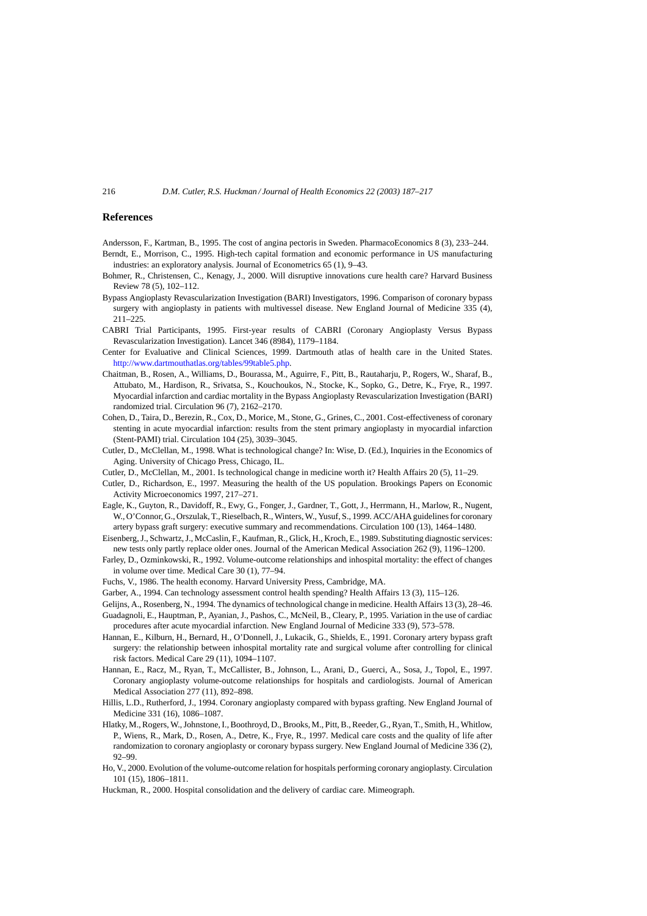#### <span id="page-29-0"></span>**References**

Andersson, F., Kartman, B., 1995. The cost of angina pectoris in Sweden. PharmacoEconomics 8 (3), 233–244.

- Berndt, E., Morrison, C., 1995. High-tech capital formation and economic performance in US manufacturing industries: an exploratory analysis. Journal of Econometrics 65 (1), 9–43.
- Bohmer, R., Christensen, C., Kenagy, J., 2000. Will disruptive innovations cure health care? Harvard Business Review 78 (5), 102–112.
- Bypass Angioplasty Revascularization Investigation (BARI) Investigators, 1996. Comparison of coronary bypass surgery with angioplasty in patients with multivessel disease. New England Journal of Medicine 335 (4), 211–225.
- CABRI Trial Participants, 1995. First-year results of CABRI (Coronary Angioplasty Versus Bypass Revascularization Investigation). Lancet 346 (8984), 1179–1184.
- Center for Evaluative and Clinical Sciences, 1999. Dartmouth atlas of health care in the United States. <http://www.dartmouthatlas.org/tables/99table5.php>.
- Chaitman, B., Rosen, A., Williams, D., Bourassa, M., Aguirre, F., Pitt, B., Rautaharju, P., Rogers, W., Sharaf, B., Attubato, M., Hardison, R., Srivatsa, S., Kouchoukos, N., Stocke, K., Sopko, G., Detre, K., Frye, R., 1997. Myocardial infarction and cardiac mortality in the Bypass Angioplasty Revascularization Investigation (BARI) randomized trial. Circulation 96 (7), 2162–2170.
- Cohen, D., Taira, D., Berezin, R., Cox, D., Morice, M., Stone, G., Grines, C., 2001. Cost-effectiveness of coronary stenting in acute myocardial infarction: results from the stent primary angioplasty in myocardial infarction (Stent-PAMI) trial. Circulation 104 (25), 3039–3045.
- Cutler, D., McClellan, M., 1998. What is technological change? In: Wise, D. (Ed.), Inquiries in the Economics of Aging. University of Chicago Press, Chicago, IL.
- Cutler, D., McClellan, M., 2001. Is technological change in medicine worth it? Health Affairs 20 (5), 11–29.
- Cutler, D., Richardson, E., 1997. Measuring the health of the US population. Brookings Papers on Economic Activity Microeconomics 1997, 217–271.
- Eagle, K., Guyton, R., Davidoff, R., Ewy, G., Fonger, J., Gardner, T., Gott, J., Herrmann, H., Marlow, R., Nugent, W., O'Connor, G., Orszulak, T., Rieselbach, R., Winters, W., Yusuf, S., 1999. ACC/AHA guidelines for coronary artery bypass graft surgery: executive summary and recommendations. Circulation 100 (13), 1464–1480.
- Eisenberg, J., Schwartz, J., McCaslin, F., Kaufman, R., Glick, H., Kroch, E., 1989. Substituting diagnostic services: new tests only partly replace older ones. Journal of the American Medical Association 262 (9), 1196–1200.
- Farley, D., Ozminkowski, R., 1992. Volume-outcome relationships and inhospital mortality: the effect of changes in volume over time. Medical Care 30 (1), 77–94.
- Fuchs, V., 1986. The health economy. Harvard University Press, Cambridge, MA.
- Garber, A., 1994. Can technology assessment control health spending? Health Affairs 13 (3), 115–126.
- Gelijns, A., Rosenberg, N., 1994. The dynamics of technological change in medicine. Health Affairs 13 (3), 28–46.
- Guadagnoli, E., Hauptman, P., Ayanian, J., Pashos, C., McNeil, B., Cleary, P., 1995. Variation in the use of cardiac procedures after acute myocardial infarction. New England Journal of Medicine 333 (9), 573–578.
- Hannan, E., Kilburn, H., Bernard, H., O'Donnell, J., Lukacik, G., Shields, E., 1991. Coronary artery bypass graft surgery: the relationship between inhospital mortality rate and surgical volume after controlling for clinical risk factors. Medical Care 29 (11), 1094–1107.
- Hannan, E., Racz, M., Ryan, T., McCallister, B., Johnson, L., Arani, D., Guerci, A., Sosa, J., Topol, E., 1997. Coronary angioplasty volume-outcome relationships for hospitals and cardiologists. Journal of American Medical Association 277 (11), 892–898.
- Hillis, L.D., Rutherford, J., 1994. Coronary angioplasty compared with bypass grafting. New England Journal of Medicine 331 (16), 1086–1087.
- Hlatky, M., Rogers, W., Johnstone, I., Boothroyd, D., Brooks, M., Pitt, B., Reeder, G., Ryan, T., Smith, H., Whitlow, P., Wiens, R., Mark, D., Rosen, A., Detre, K., Frye, R., 1997. Medical care costs and the quality of life after randomization to coronary angioplasty or coronary bypass surgery. New England Journal of Medicine 336 (2), 92–99.
- Ho, V., 2000. Evolution of the volume-outcome relation for hospitals performing coronary angioplasty. Circulation 101 (15), 1806–1811.
- Huckman, R., 2000. Hospital consolidation and the delivery of cardiac care. Mimeograph.